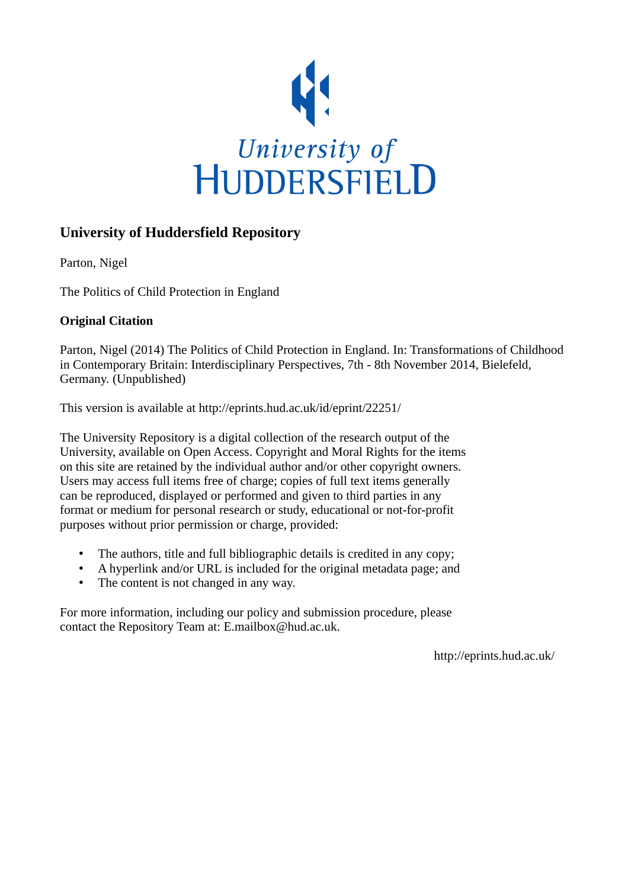

# **University of Huddersfield Repository**

Parton, Nigel

The Politics of Child Protection in England

# **Original Citation**

Parton, Nigel (2014) The Politics of Child Protection in England. In: Transformations of Childhood in Contemporary Britain: Interdisciplinary Perspectives, 7th - 8th November 2014, Bielefeld, Germany. (Unpublished)

This version is available at http://eprints.hud.ac.uk/id/eprint/22251/

The University Repository is a digital collection of the research output of the University, available on Open Access. Copyright and Moral Rights for the items on this site are retained by the individual author and/or other copyright owners. Users may access full items free of charge; copies of full text items generally can be reproduced, displayed or performed and given to third parties in any format or medium for personal research or study, educational or not-for-profit purposes without prior permission or charge, provided:

- The authors, title and full bibliographic details is credited in any copy;
- A hyperlink and/or URL is included for the original metadata page; and
- The content is not changed in any way.

For more information, including our policy and submission procedure, please contact the Repository Team at: E.mailbox@hud.ac.uk.

http://eprints.hud.ac.uk/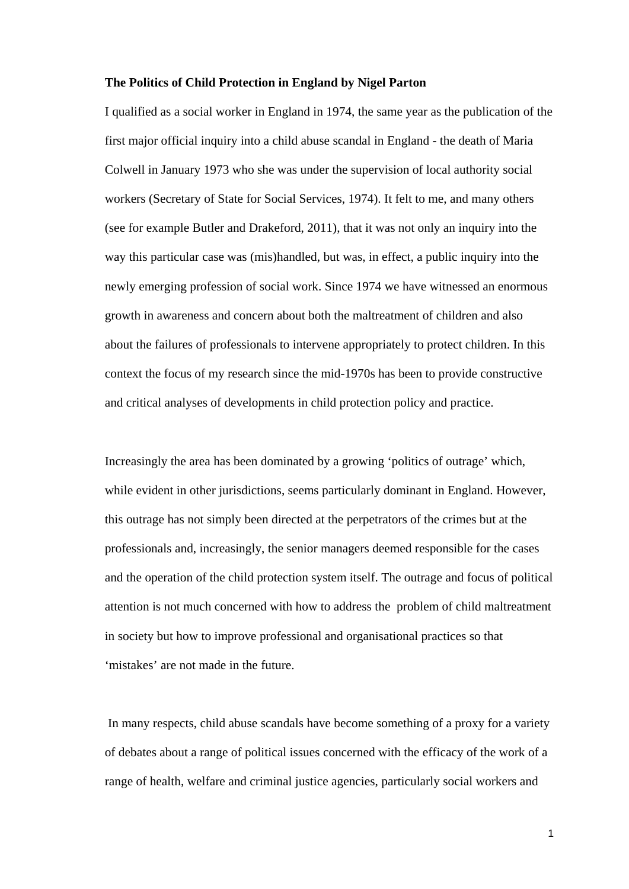#### **The Politics of Child Protection in England by Nigel Parton**

I qualified as a social worker in England in 1974, the same year as the publication of the first major official inquiry into a child abuse scandal in England - the death of Maria Colwell in January 1973 who she was under the supervision of local authority social workers (Secretary of State for Social Services, 1974). It felt to me, and many others (see for example Butler and Drakeford, 2011), that it was not only an inquiry into the way this particular case was (mis)handled, but was, in effect, a public inquiry into the newly emerging profession of social work. Since 1974 we have witnessed an enormous growth in awareness and concern about both the maltreatment of children and also about the failures of professionals to intervene appropriately to protect children. In this context the focus of my research since the mid-1970s has been to provide constructive and critical analyses of developments in child protection policy and practice.

Increasingly the area has been dominated by a growing 'politics of outrage' which, while evident in other jurisdictions, seems particularly dominant in England. However, this outrage has not simply been directed at the perpetrators of the crimes but at the professionals and, increasingly, the senior managers deemed responsible for the cases and the operation of the child protection system itself. The outrage and focus of political attention is not much concerned with how to address the problem of child maltreatment in society but how to improve professional and organisational practices so that 'mistakes' are not made in the future.

 In many respects, child abuse scandals have become something of a proxy for a variety of debates about a range of political issues concerned with the efficacy of the work of a range of health, welfare and criminal justice agencies, particularly social workers and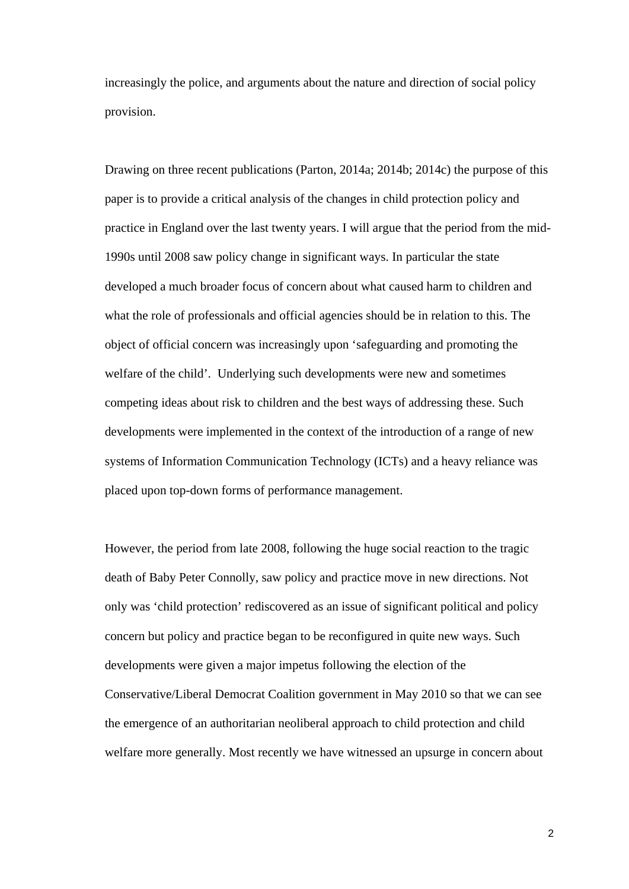increasingly the police, and arguments about the nature and direction of social policy provision.

Drawing on three recent publications (Parton, 2014a; 2014b; 2014c) the purpose of this paper is to provide a critical analysis of the changes in child protection policy and practice in England over the last twenty years. I will argue that the period from the mid-1990s until 2008 saw policy change in significant ways. In particular the state developed a much broader focus of concern about what caused harm to children and what the role of professionals and official agencies should be in relation to this. The object of official concern was increasingly upon 'safeguarding and promoting the welfare of the child'. Underlying such developments were new and sometimes competing ideas about risk to children and the best ways of addressing these. Such developments were implemented in the context of the introduction of a range of new systems of Information Communication Technology (ICTs) and a heavy reliance was placed upon top-down forms of performance management.

However, the period from late 2008, following the huge social reaction to the tragic death of Baby Peter Connolly, saw policy and practice move in new directions. Not only was 'child protection' rediscovered as an issue of significant political and policy concern but policy and practice began to be reconfigured in quite new ways. Such developments were given a major impetus following the election of the Conservative/Liberal Democrat Coalition government in May 2010 so that we can see the emergence of an authoritarian neoliberal approach to child protection and child welfare more generally. Most recently we have witnessed an upsurge in concern about

2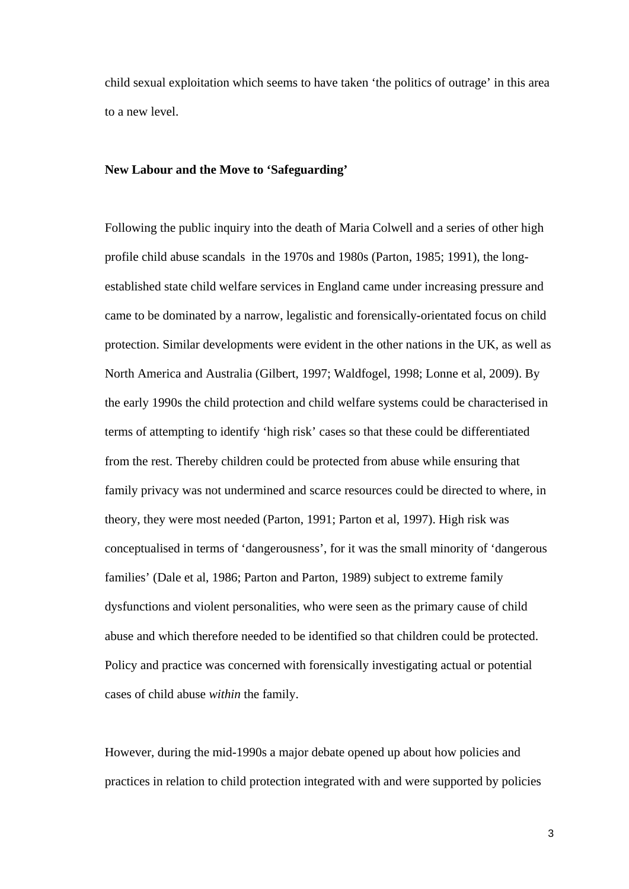child sexual exploitation which seems to have taken 'the politics of outrage' in this area to a new level.

### **New Labour and the Move to 'Safeguarding'**

Following the public inquiry into the death of Maria Colwell and a series of other high profile child abuse scandals in the 1970s and 1980s (Parton, 1985; 1991), the longestablished state child welfare services in England came under increasing pressure and came to be dominated by a narrow, legalistic and forensically-orientated focus on child protection. Similar developments were evident in the other nations in the UK, as well as North America and Australia (Gilbert, 1997; Waldfogel, 1998; Lonne et al, 2009). By the early 1990s the child protection and child welfare systems could be characterised in terms of attempting to identify 'high risk' cases so that these could be differentiated from the rest. Thereby children could be protected from abuse while ensuring that family privacy was not undermined and scarce resources could be directed to where, in theory, they were most needed (Parton, 1991; Parton et al, 1997). High risk was conceptualised in terms of 'dangerousness', for it was the small minority of 'dangerous families' (Dale et al, 1986; Parton and Parton, 1989) subject to extreme family dysfunctions and violent personalities, who were seen as the primary cause of child abuse and which therefore needed to be identified so that children could be protected. Policy and practice was concerned with forensically investigating actual or potential cases of child abuse *within* the family.

However, during the mid-1990s a major debate opened up about how policies and practices in relation to child protection integrated with and were supported by policies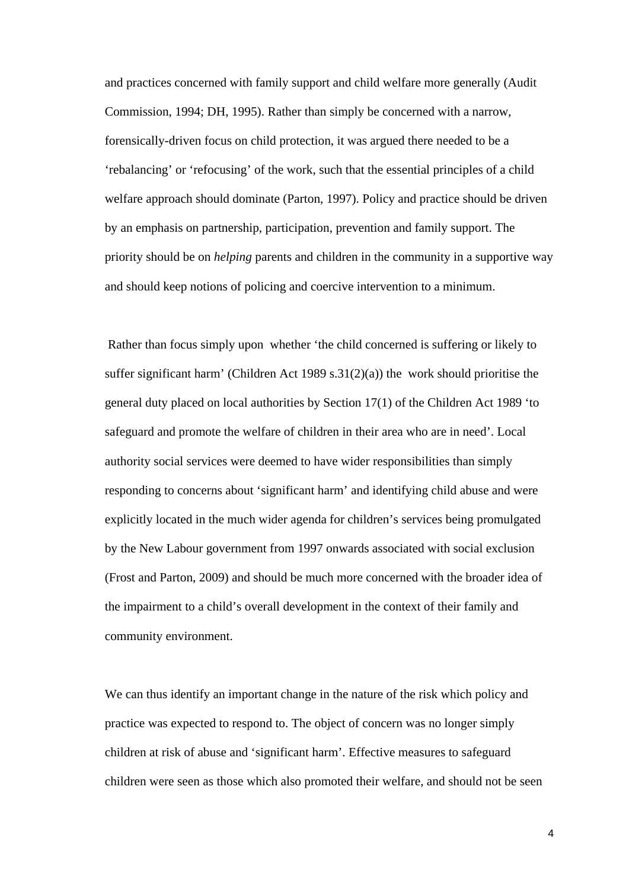and practices concerned with family support and child welfare more generally (Audit Commission, 1994; DH, 1995). Rather than simply be concerned with a narrow, forensically-driven focus on child protection, it was argued there needed to be a 'rebalancing' or 'refocusing' of the work, such that the essential principles of a child welfare approach should dominate (Parton, 1997). Policy and practice should be driven by an emphasis on partnership, participation, prevention and family support. The priority should be on *helping* parents and children in the community in a supportive way and should keep notions of policing and coercive intervention to a minimum.

 Rather than focus simply upon whether 'the child concerned is suffering or likely to suffer significant harm' (Children Act 1989 s.31(2)(a)) the work should prioritise the general duty placed on local authorities by Section 17(1) of the Children Act 1989 'to safeguard and promote the welfare of children in their area who are in need'. Local authority social services were deemed to have wider responsibilities than simply responding to concerns about 'significant harm' and identifying child abuse and were explicitly located in the much wider agenda for children's services being promulgated by the New Labour government from 1997 onwards associated with social exclusion (Frost and Parton, 2009) and should be much more concerned with the broader idea of the impairment to a child's overall development in the context of their family and community environment.

We can thus identify an important change in the nature of the risk which policy and practice was expected to respond to. The object of concern was no longer simply children at risk of abuse and 'significant harm'. Effective measures to safeguard children were seen as those which also promoted their welfare, and should not be seen

4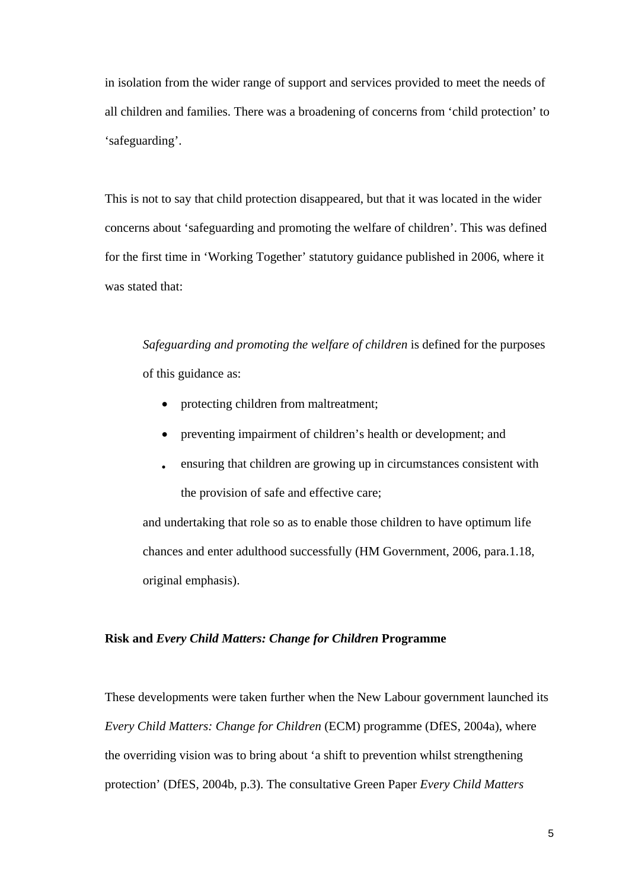in isolation from the wider range of support and services provided to meet the needs of all children and families. There was a broadening of concerns from 'child protection' to 'safeguarding'.

This is not to say that child protection disappeared, but that it was located in the wider concerns about 'safeguarding and promoting the welfare of children'. This was defined for the first time in 'Working Together' statutory guidance published in 2006, where it was stated that:

*Safeguarding and promoting the welfare of children* is defined for the purposes of this guidance as:

- protecting children from maltreatment;
- preventing impairment of children's health or development; and
- ensuring that children are growing up in circumstances consistent with the provision of safe and effective care;

and undertaking that role so as to enable those children to have optimum life chances and enter adulthood successfully (HM Government, 2006, para.1.18, original emphasis).

#### **Risk and** *Every Child Matters: Change for Children* **Programme**

These developments were taken further when the New Labour government launched its *Every Child Matters: Change for Children* (ECM) programme (DfES, 2004a), where the overriding vision was to bring about 'a shift to prevention whilst strengthening protection' (DfES, 2004b, p.3). The consultative Green Paper *Every Child Matters*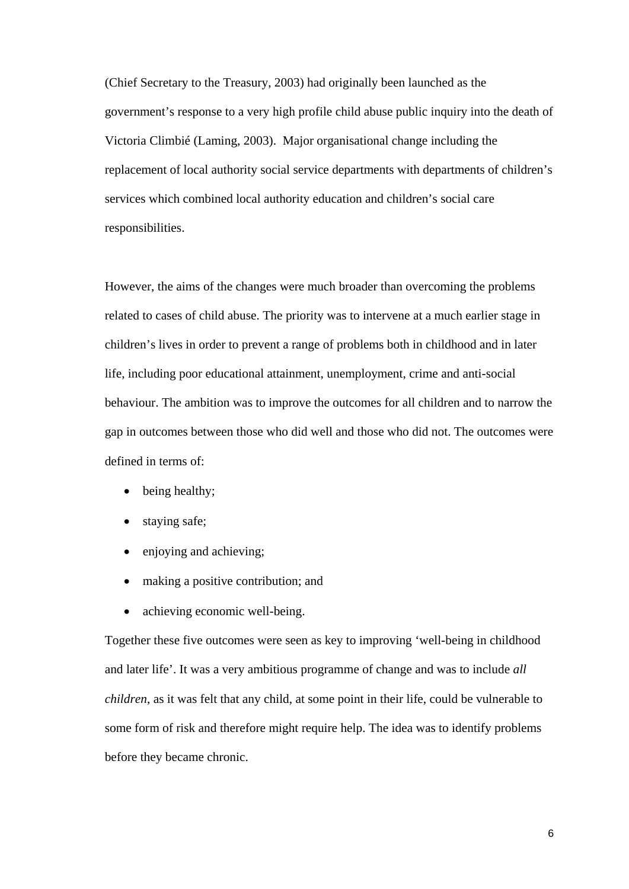(Chief Secretary to the Treasury, 2003) had originally been launched as the government's response to a very high profile child abuse public inquiry into the death of Victoria Climbié (Laming, 2003). Major organisational change including the replacement of local authority social service departments with departments of children's services which combined local authority education and children's social care responsibilities.

However, the aims of the changes were much broader than overcoming the problems related to cases of child abuse. The priority was to intervene at a much earlier stage in children's lives in order to prevent a range of problems both in childhood and in later life, including poor educational attainment, unemployment, crime and anti-social behaviour. The ambition was to improve the outcomes for all children and to narrow the gap in outcomes between those who did well and those who did not. The outcomes were defined in terms of:

- being healthy;
- staying safe;
- enjoying and achieving;
- making a positive contribution; and
- achieving economic well-being.

Together these five outcomes were seen as key to improving 'well-being in childhood and later life'. It was a very ambitious programme of change and was to include *all children*, as it was felt that any child, at some point in their life, could be vulnerable to some form of risk and therefore might require help. The idea was to identify problems before they became chronic.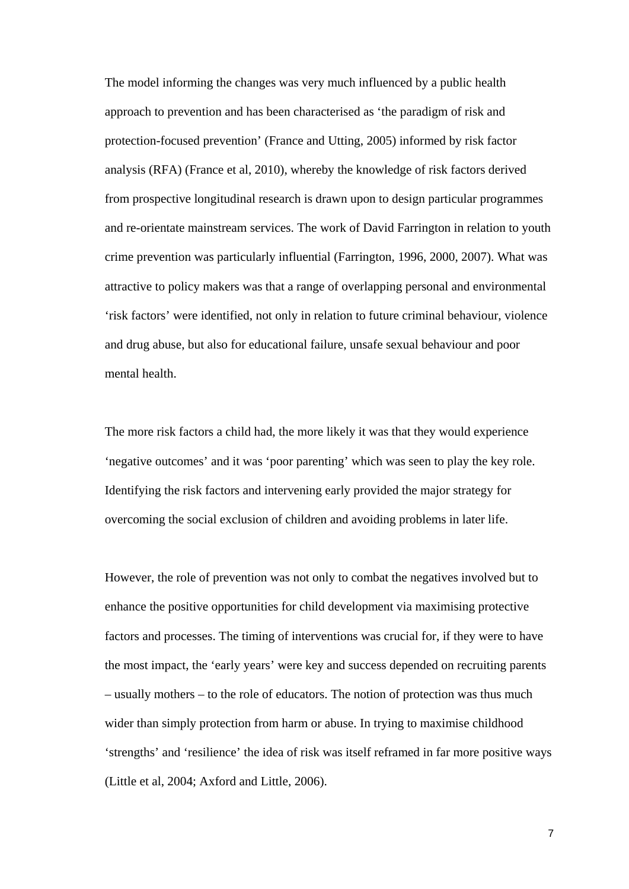The model informing the changes was very much influenced by a public health approach to prevention and has been characterised as 'the paradigm of risk and protection-focused prevention' (France and Utting, 2005) informed by risk factor analysis (RFA) (France et al, 2010), whereby the knowledge of risk factors derived from prospective longitudinal research is drawn upon to design particular programmes and re-orientate mainstream services. The work of David Farrington in relation to youth crime prevention was particularly influential (Farrington, 1996, 2000, 2007). What was attractive to policy makers was that a range of overlapping personal and environmental 'risk factors' were identified, not only in relation to future criminal behaviour, violence and drug abuse, but also for educational failure, unsafe sexual behaviour and poor mental health.

The more risk factors a child had, the more likely it was that they would experience 'negative outcomes' and it was 'poor parenting' which was seen to play the key role. Identifying the risk factors and intervening early provided the major strategy for overcoming the social exclusion of children and avoiding problems in later life.

However, the role of prevention was not only to combat the negatives involved but to enhance the positive opportunities for child development via maximising protective factors and processes. The timing of interventions was crucial for, if they were to have the most impact, the 'early years' were key and success depended on recruiting parents – usually mothers – to the role of educators. The notion of protection was thus much wider than simply protection from harm or abuse. In trying to maximise childhood 'strengths' and 'resilience' the idea of risk was itself reframed in far more positive ways (Little et al, 2004; Axford and Little, 2006).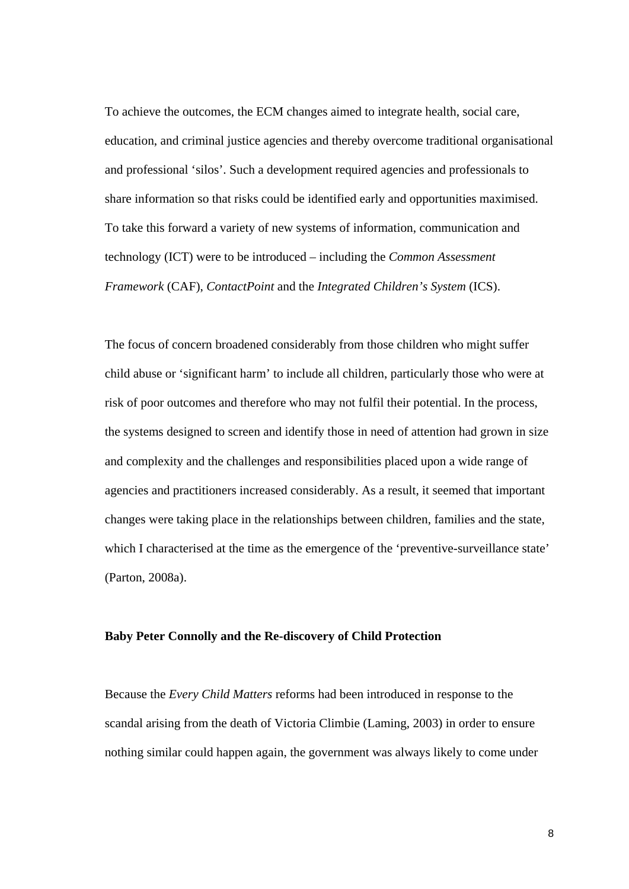To achieve the outcomes, the ECM changes aimed to integrate health, social care, education, and criminal justice agencies and thereby overcome traditional organisational and professional 'silos'. Such a development required agencies and professionals to share information so that risks could be identified early and opportunities maximised. To take this forward a variety of new systems of information, communication and technology (ICT) were to be introduced – including the *Common Assessment Framework* (CAF), *ContactPoint* and the *Integrated Children's System* (ICS).

The focus of concern broadened considerably from those children who might suffer child abuse or 'significant harm' to include all children, particularly those who were at risk of poor outcomes and therefore who may not fulfil their potential. In the process, the systems designed to screen and identify those in need of attention had grown in size and complexity and the challenges and responsibilities placed upon a wide range of agencies and practitioners increased considerably. As a result, it seemed that important changes were taking place in the relationships between children, families and the state, which I characterised at the time as the emergence of the 'preventive-surveillance state' (Parton, 2008a).

#### **Baby Peter Connolly and the Re-discovery of Child Protection**

Because the *Every Child Matters* reforms had been introduced in response to the scandal arising from the death of Victoria Climbie (Laming, 2003) in order to ensure nothing similar could happen again, the government was always likely to come under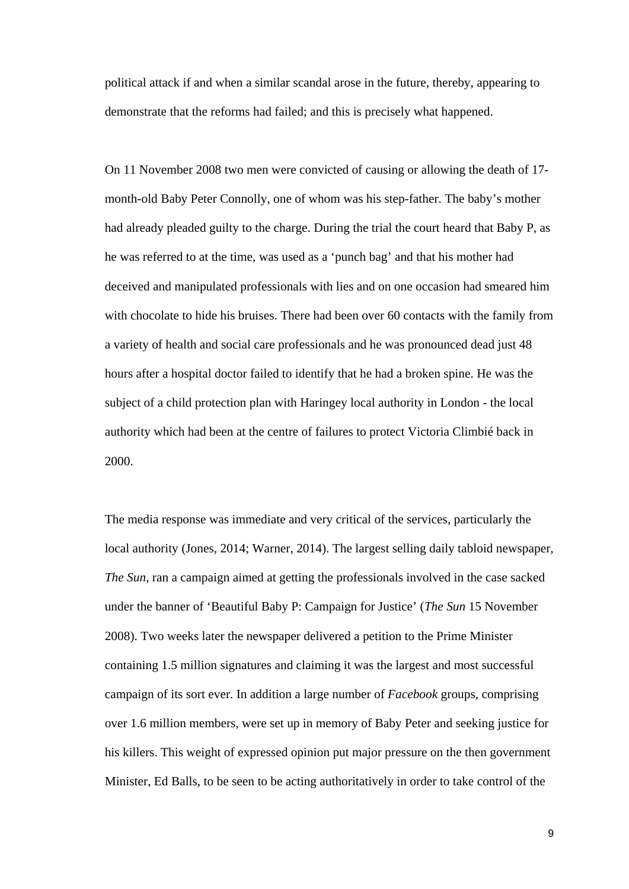political attack if and when a similar scandal arose in the future, thereby, appearing to demonstrate that the reforms had failed; and this is precisely what happened.

On 11 November 2008 two men were convicted of causing or allowing the death of 17 month-old Baby Peter Connolly, one of whom was his step-father. The baby's mother had already pleaded guilty to the charge. During the trial the court heard that Baby P, as he was referred to at the time, was used as a 'punch bag' and that his mother had deceived and manipulated professionals with lies and on one occasion had smeared him with chocolate to hide his bruises. There had been over 60 contacts with the family from a variety of health and social care professionals and he was pronounced dead just 48 hours after a hospital doctor failed to identify that he had a broken spine. He was the subject of a child protection plan with Haringey local authority in London - the local authority which had been at the centre of failures to protect Victoria Climbié back in 2000.

The media response was immediate and very critical of the services, particularly the local authority (Jones, 2014; Warner, 2014). The largest selling daily tabloid newspaper, *The Sun*, ran a campaign aimed at getting the professionals involved in the case sacked under the banner of 'Beautiful Baby P: Campaign for Justice' (*The Sun* 15 November 2008). Two weeks later the newspaper delivered a petition to the Prime Minister containing 1.5 million signatures and claiming it was the largest and most successful campaign of its sort ever. In addition a large number of *Facebook* groups, comprising over 1.6 million members, were set up in memory of Baby Peter and seeking justice for his killers. This weight of expressed opinion put major pressure on the then government Minister, Ed Balls, to be seen to be acting authoritatively in order to take control of the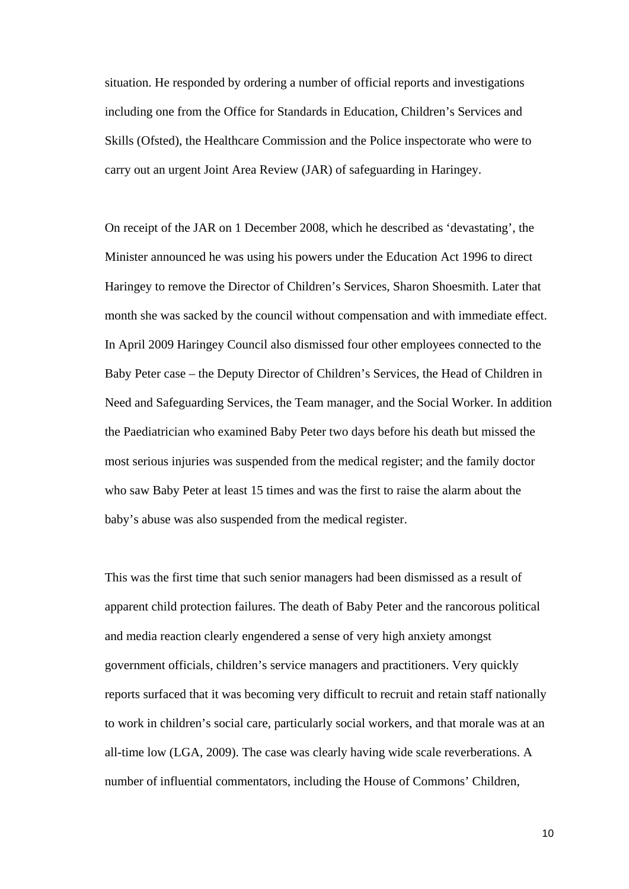situation. He responded by ordering a number of official reports and investigations including one from the Office for Standards in Education, Children's Services and Skills (Ofsted), the Healthcare Commission and the Police inspectorate who were to carry out an urgent Joint Area Review (JAR) of safeguarding in Haringey.

On receipt of the JAR on 1 December 2008, which he described as 'devastating', the Minister announced he was using his powers under the Education Act 1996 to direct Haringey to remove the Director of Children's Services, Sharon Shoesmith. Later that month she was sacked by the council without compensation and with immediate effect. In April 2009 Haringey Council also dismissed four other employees connected to the Baby Peter case – the Deputy Director of Children's Services, the Head of Children in Need and Safeguarding Services, the Team manager, and the Social Worker. In addition the Paediatrician who examined Baby Peter two days before his death but missed the most serious injuries was suspended from the medical register; and the family doctor who saw Baby Peter at least 15 times and was the first to raise the alarm about the baby's abuse was also suspended from the medical register.

This was the first time that such senior managers had been dismissed as a result of apparent child protection failures. The death of Baby Peter and the rancorous political and media reaction clearly engendered a sense of very high anxiety amongst government officials, children's service managers and practitioners. Very quickly reports surfaced that it was becoming very difficult to recruit and retain staff nationally to work in children's social care, particularly social workers, and that morale was at an all-time low (LGA, 2009). The case was clearly having wide scale reverberations. A number of influential commentators, including the House of Commons' Children,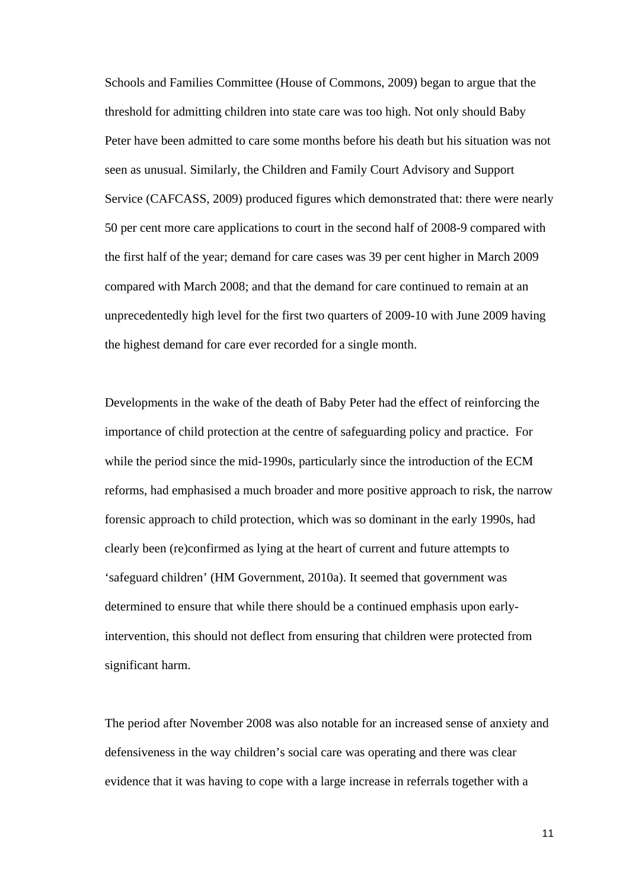Schools and Families Committee (House of Commons, 2009) began to argue that the threshold for admitting children into state care was too high. Not only should Baby Peter have been admitted to care some months before his death but his situation was not seen as unusual. Similarly, the Children and Family Court Advisory and Support Service (CAFCASS, 2009) produced figures which demonstrated that: there were nearly 50 per cent more care applications to court in the second half of 2008-9 compared with the first half of the year; demand for care cases was 39 per cent higher in March 2009 compared with March 2008; and that the demand for care continued to remain at an unprecedentedly high level for the first two quarters of 2009-10 with June 2009 having the highest demand for care ever recorded for a single month.

Developments in the wake of the death of Baby Peter had the effect of reinforcing the importance of child protection at the centre of safeguarding policy and practice. For while the period since the mid-1990s, particularly since the introduction of the ECM reforms, had emphasised a much broader and more positive approach to risk, the narrow forensic approach to child protection, which was so dominant in the early 1990s, had clearly been (re)confirmed as lying at the heart of current and future attempts to 'safeguard children' (HM Government, 2010a). It seemed that government was determined to ensure that while there should be a continued emphasis upon earlyintervention, this should not deflect from ensuring that children were protected from significant harm.

The period after November 2008 was also notable for an increased sense of anxiety and defensiveness in the way children's social care was operating and there was clear evidence that it was having to cope with a large increase in referrals together with a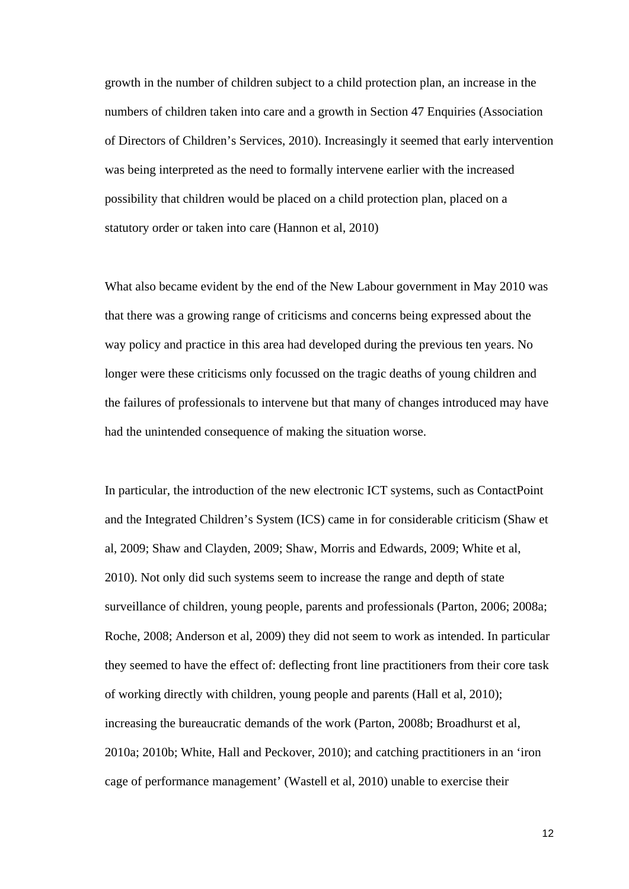growth in the number of children subject to a child protection plan, an increase in the numbers of children taken into care and a growth in Section 47 Enquiries (Association of Directors of Children's Services, 2010). Increasingly it seemed that early intervention was being interpreted as the need to formally intervene earlier with the increased possibility that children would be placed on a child protection plan, placed on a statutory order or taken into care (Hannon et al, 2010)

What also became evident by the end of the New Labour government in May 2010 was that there was a growing range of criticisms and concerns being expressed about the way policy and practice in this area had developed during the previous ten years. No longer were these criticisms only focussed on the tragic deaths of young children and the failures of professionals to intervene but that many of changes introduced may have had the unintended consequence of making the situation worse.

In particular, the introduction of the new electronic ICT systems, such as ContactPoint and the Integrated Children's System (ICS) came in for considerable criticism (Shaw et al, 2009; Shaw and Clayden, 2009; Shaw, Morris and Edwards, 2009; White et al, 2010). Not only did such systems seem to increase the range and depth of state surveillance of children, young people, parents and professionals (Parton, 2006; 2008a; Roche, 2008; Anderson et al, 2009) they did not seem to work as intended. In particular they seemed to have the effect of: deflecting front line practitioners from their core task of working directly with children, young people and parents (Hall et al, 2010); increasing the bureaucratic demands of the work (Parton, 2008b; Broadhurst et al, 2010a; 2010b; White, Hall and Peckover, 2010); and catching practitioners in an 'iron cage of performance management' (Wastell et al, 2010) unable to exercise their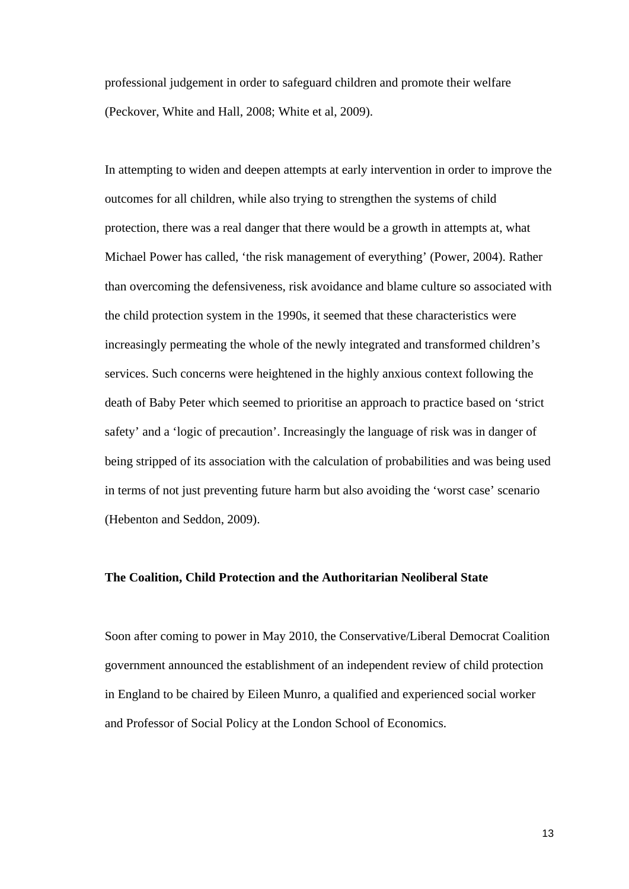professional judgement in order to safeguard children and promote their welfare (Peckover, White and Hall, 2008; White et al, 2009).

In attempting to widen and deepen attempts at early intervention in order to improve the outcomes for all children, while also trying to strengthen the systems of child protection, there was a real danger that there would be a growth in attempts at, what Michael Power has called, 'the risk management of everything' (Power, 2004). Rather than overcoming the defensiveness, risk avoidance and blame culture so associated with the child protection system in the 1990s, it seemed that these characteristics were increasingly permeating the whole of the newly integrated and transformed children's services. Such concerns were heightened in the highly anxious context following the death of Baby Peter which seemed to prioritise an approach to practice based on 'strict safety' and a 'logic of precaution'. Increasingly the language of risk was in danger of being stripped of its association with the calculation of probabilities and was being used in terms of not just preventing future harm but also avoiding the 'worst case' scenario (Hebenton and Seddon, 2009).

# **The Coalition, Child Protection and the Authoritarian Neoliberal State**

Soon after coming to power in May 2010, the Conservative/Liberal Democrat Coalition government announced the establishment of an independent review of child protection in England to be chaired by Eileen Munro, a qualified and experienced social worker and Professor of Social Policy at the London School of Economics.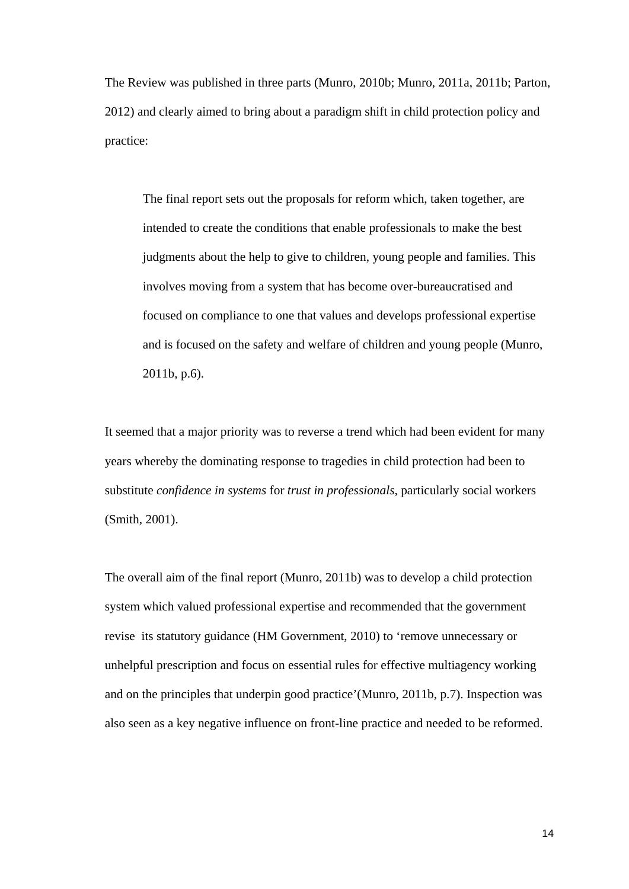The Review was published in three parts (Munro, 2010b; Munro, 2011a, 2011b; Parton, 2012) and clearly aimed to bring about a paradigm shift in child protection policy and practice:

 The final report sets out the proposals for reform which, taken together, are intended to create the conditions that enable professionals to make the best judgments about the help to give to children, young people and families. This involves moving from a system that has become over-bureaucratised and focused on compliance to one that values and develops professional expertise and is focused on the safety and welfare of children and young people (Munro, 2011b, p.6).

It seemed that a major priority was to reverse a trend which had been evident for many years whereby the dominating response to tragedies in child protection had been to substitute *confidence in systems* for *trust in professionals*, particularly social workers (Smith, 2001).

The overall aim of the final report (Munro, 2011b) was to develop a child protection system which valued professional expertise and recommended that the government revise its statutory guidance (HM Government, 2010) to 'remove unnecessary or unhelpful prescription and focus on essential rules for effective multiagency working and on the principles that underpin good practice'(Munro, 2011b, p.7). Inspection was also seen as a key negative influence on front-line practice and needed to be reformed.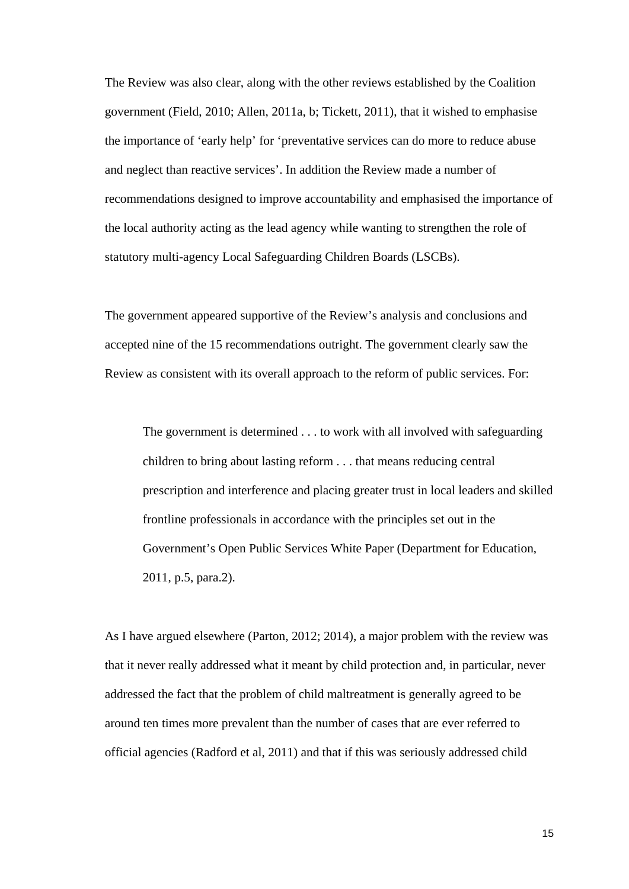The Review was also clear, along with the other reviews established by the Coalition government (Field, 2010; Allen, 2011a, b; Tickett, 2011), that it wished to emphasise the importance of 'early help' for 'preventative services can do more to reduce abuse and neglect than reactive services'. In addition the Review made a number of recommendations designed to improve accountability and emphasised the importance of the local authority acting as the lead agency while wanting to strengthen the role of statutory multi-agency Local Safeguarding Children Boards (LSCBs).

The government appeared supportive of the Review's analysis and conclusions and accepted nine of the 15 recommendations outright. The government clearly saw the Review as consistent with its overall approach to the reform of public services. For:

 The government is determined . . . to work with all involved with safeguarding children to bring about lasting reform . . . that means reducing central prescription and interference and placing greater trust in local leaders and skilled frontline professionals in accordance with the principles set out in the Government's Open Public Services White Paper (Department for Education, 2011, p.5, para.2).

As I have argued elsewhere (Parton, 2012; 2014), a major problem with the review was that it never really addressed what it meant by child protection and, in particular, never addressed the fact that the problem of child maltreatment is generally agreed to be around ten times more prevalent than the number of cases that are ever referred to official agencies (Radford et al, 2011) and that if this was seriously addressed child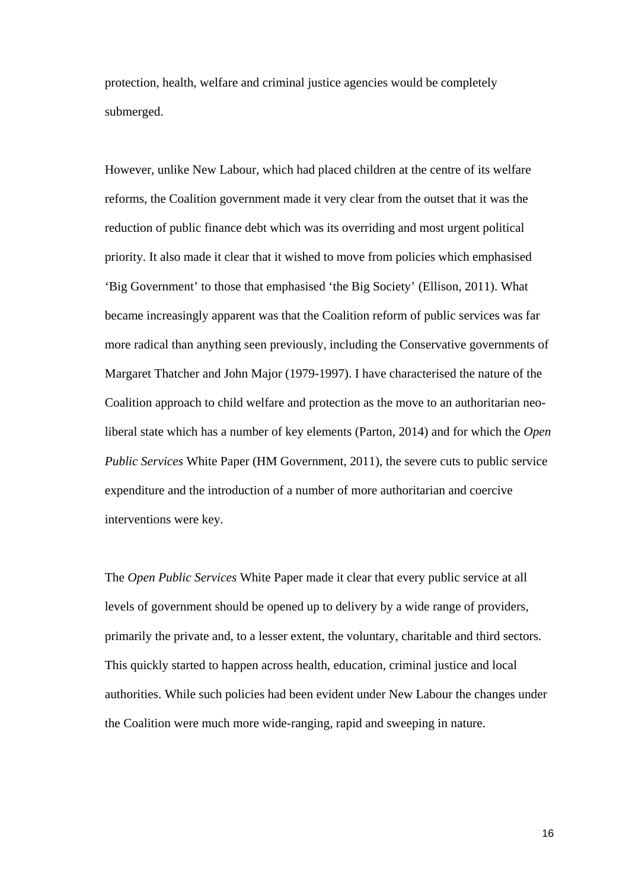protection, health, welfare and criminal justice agencies would be completely submerged.

However, unlike New Labour, which had placed children at the centre of its welfare reforms, the Coalition government made it very clear from the outset that it was the reduction of public finance debt which was its overriding and most urgent political priority. It also made it clear that it wished to move from policies which emphasised 'Big Government' to those that emphasised 'the Big Society' (Ellison, 2011). What became increasingly apparent was that the Coalition reform of public services was far more radical than anything seen previously, including the Conservative governments of Margaret Thatcher and John Major (1979-1997). I have characterised the nature of the Coalition approach to child welfare and protection as the move to an authoritarian neoliberal state which has a number of key elements (Parton, 2014) and for which the *Open Public Services* White Paper (HM Government, 2011), the severe cuts to public service expenditure and the introduction of a number of more authoritarian and coercive interventions were key.

The *Open Public Services* White Paper made it clear that every public service at all levels of government should be opened up to delivery by a wide range of providers, primarily the private and, to a lesser extent, the voluntary, charitable and third sectors. This quickly started to happen across health, education, criminal justice and local authorities. While such policies had been evident under New Labour the changes under the Coalition were much more wide-ranging, rapid and sweeping in nature.

16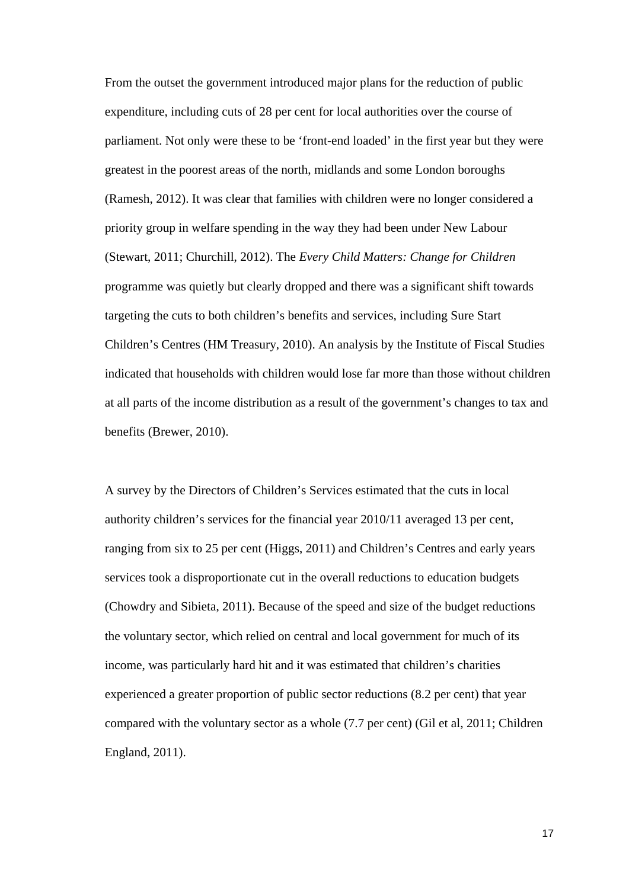From the outset the government introduced major plans for the reduction of public expenditure, including cuts of 28 per cent for local authorities over the course of parliament. Not only were these to be 'front-end loaded' in the first year but they were greatest in the poorest areas of the north, midlands and some London boroughs (Ramesh, 2012). It was clear that families with children were no longer considered a priority group in welfare spending in the way they had been under New Labour (Stewart, 2011; Churchill, 2012). The *Every Child Matters: Change for Children* programme was quietly but clearly dropped and there was a significant shift towards targeting the cuts to both children's benefits and services, including Sure Start Children's Centres (HM Treasury, 2010). An analysis by the Institute of Fiscal Studies indicated that households with children would lose far more than those without children at all parts of the income distribution as a result of the government's changes to tax and benefits (Brewer, 2010).

A survey by the Directors of Children's Services estimated that the cuts in local authority children's services for the financial year 2010/11 averaged 13 per cent, ranging from six to 25 per cent (Higgs, 2011) and Children's Centres and early years services took a disproportionate cut in the overall reductions to education budgets (Chowdry and Sibieta, 2011). Because of the speed and size of the budget reductions the voluntary sector, which relied on central and local government for much of its income, was particularly hard hit and it was estimated that children's charities experienced a greater proportion of public sector reductions (8.2 per cent) that year compared with the voluntary sector as a whole (7.7 per cent) (Gil et al, 2011; Children England, 2011).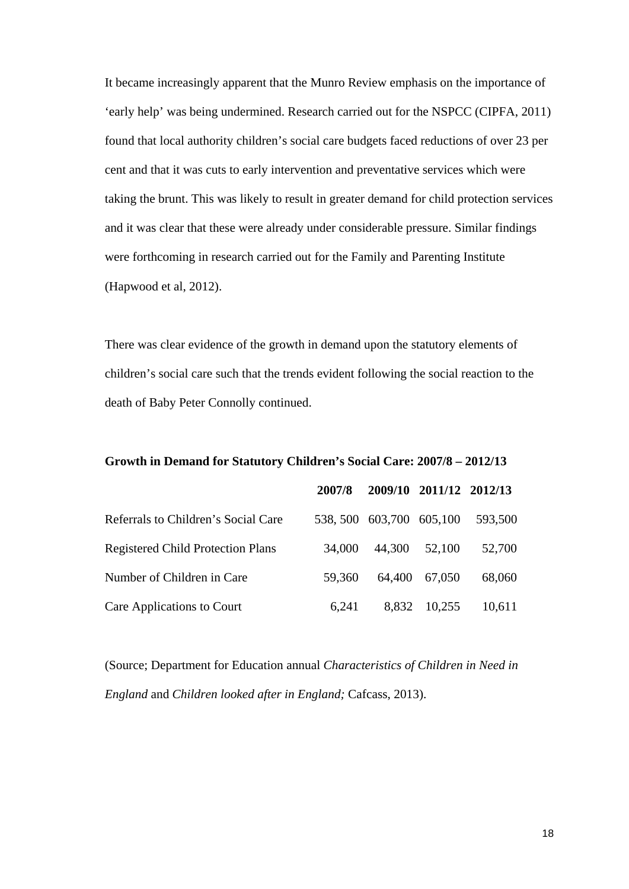It became increasingly apparent that the Munro Review emphasis on the importance of 'early help' was being undermined. Research carried out for the NSPCC (CIPFA, 2011) found that local authority children's social care budgets faced reductions of over 23 per cent and that it was cuts to early intervention and preventative services which were taking the brunt. This was likely to result in greater demand for child protection services and it was clear that these were already under considerable pressure. Similar findings were forthcoming in research carried out for the Family and Parenting Institute (Hapwood et al, 2012).

There was clear evidence of the growth in demand upon the statutory elements of children's social care such that the trends evident following the social reaction to the death of Baby Peter Connolly continued.

# **Growth in Demand for Statutory Children's Social Care: 2007/8 – 2012/13**

|                                          | 2007/8 |                            | 2009/10 2011/12 2012/13 |         |
|------------------------------------------|--------|----------------------------|-------------------------|---------|
| Referrals to Children's Social Care      |        | 538, 500 603, 700 605, 100 |                         | 593,500 |
| <b>Registered Child Protection Plans</b> | 34,000 | 44,300                     | 52,100                  | 52,700  |
| Number of Children in Care               | 59.360 | 64,400                     | 67,050                  | 68,060  |
| Care Applications to Court               | 6,241  | 8,832                      | 10,255                  | 10,611  |

(Source; Department for Education annual *Characteristics of Children in Need in England* and *Children looked after in England;* Cafcass, 2013).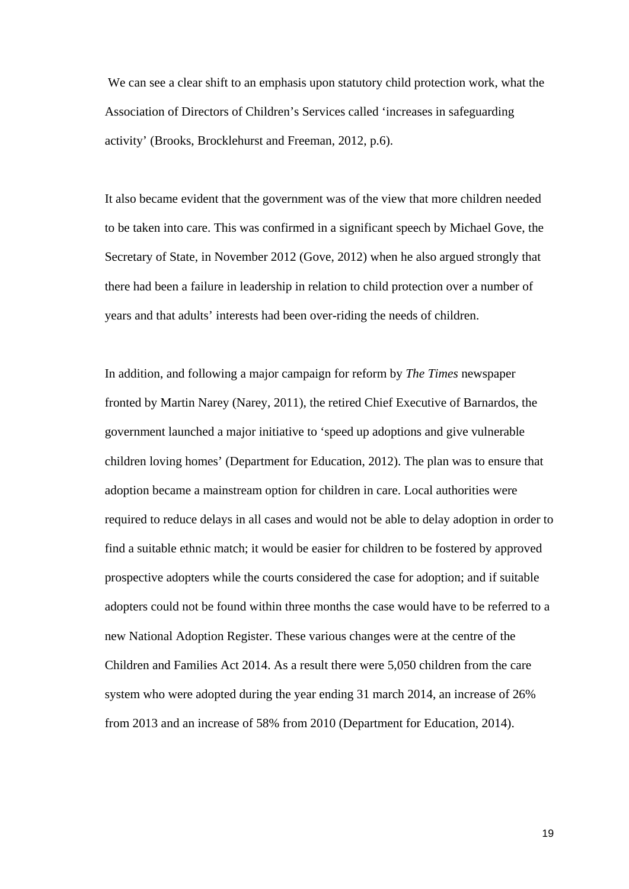We can see a clear shift to an emphasis upon statutory child protection work, what the Association of Directors of Children's Services called 'increases in safeguarding activity' (Brooks, Brocklehurst and Freeman, 2012, p.6).

It also became evident that the government was of the view that more children needed to be taken into care. This was confirmed in a significant speech by Michael Gove, the Secretary of State, in November 2012 (Gove, 2012) when he also argued strongly that there had been a failure in leadership in relation to child protection over a number of years and that adults' interests had been over-riding the needs of children.

In addition, and following a major campaign for reform by *The Times* newspaper fronted by Martin Narey (Narey, 2011), the retired Chief Executive of Barnardos, the government launched a major initiative to 'speed up adoptions and give vulnerable children loving homes' (Department for Education, 2012). The plan was to ensure that adoption became a mainstream option for children in care. Local authorities were required to reduce delays in all cases and would not be able to delay adoption in order to find a suitable ethnic match; it would be easier for children to be fostered by approved prospective adopters while the courts considered the case for adoption; and if suitable adopters could not be found within three months the case would have to be referred to a new National Adoption Register. These various changes were at the centre of the Children and Families Act 2014. As a result there were 5,050 children from the care system who were adopted during the year ending 31 march 2014, an increase of 26% from 2013 and an increase of 58% from 2010 (Department for Education, 2014).

19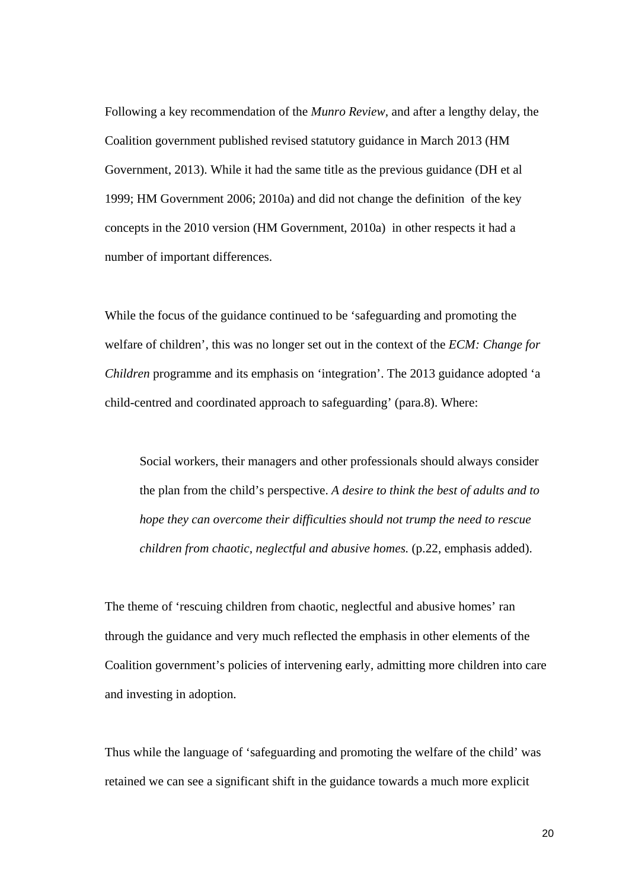Following a key recommendation of the *Munro Review,* and after a lengthy delay, the Coalition government published revised statutory guidance in March 2013 (HM Government, 2013). While it had the same title as the previous guidance (DH et al 1999; HM Government 2006; 2010a) and did not change the definition of the key concepts in the 2010 version (HM Government, 2010a) in other respects it had a number of important differences.

While the focus of the guidance continued to be 'safeguarding and promoting the welfare of children', this was no longer set out in the context of the *ECM: Change for Children* programme and its emphasis on 'integration'. The 2013 guidance adopted 'a child-centred and coordinated approach to safeguarding' (para.8). Where:

 Social workers, their managers and other professionals should always consider the plan from the child's perspective. *A desire to think the best of adults and to hope they can overcome their difficulties should not trump the need to rescue children from chaotic, neglectful and abusive homes.* (p.22, emphasis added).

The theme of 'rescuing children from chaotic, neglectful and abusive homes' ran through the guidance and very much reflected the emphasis in other elements of the Coalition government's policies of intervening early, admitting more children into care and investing in adoption.

Thus while the language of 'safeguarding and promoting the welfare of the child' was retained we can see a significant shift in the guidance towards a much more explicit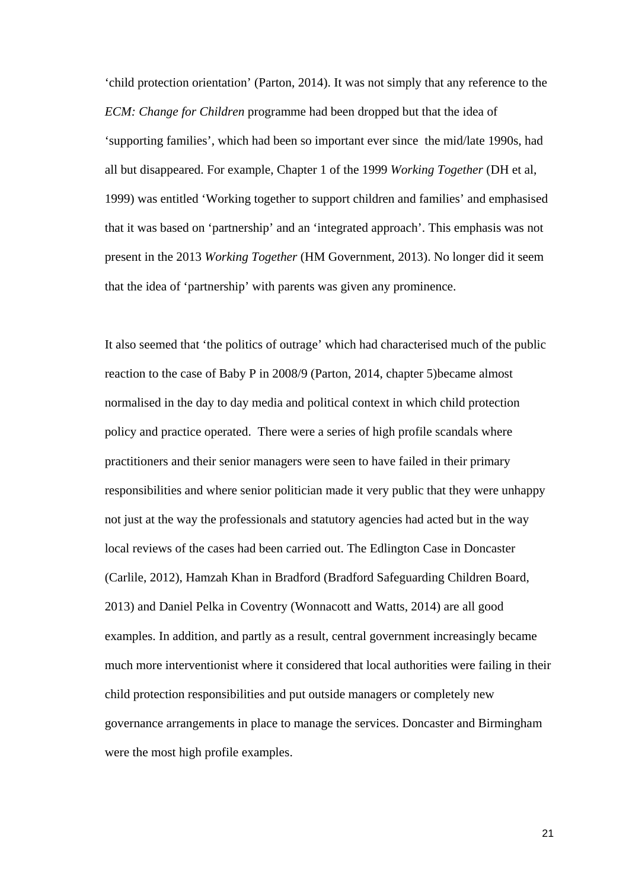'child protection orientation' (Parton, 2014). It was not simply that any reference to the *ECM: Change for Children* programme had been dropped but that the idea of 'supporting families', which had been so important ever since the mid/late 1990s, had all but disappeared. For example, Chapter 1 of the 1999 *Working Together* (DH et al, 1999) was entitled 'Working together to support children and families' and emphasised that it was based on 'partnership' and an 'integrated approach'. This emphasis was not present in the 2013 *Working Together* (HM Government, 2013). No longer did it seem that the idea of 'partnership' with parents was given any prominence.

It also seemed that 'the politics of outrage' which had characterised much of the public reaction to the case of Baby P in 2008/9 (Parton, 2014, chapter 5)became almost normalised in the day to day media and political context in which child protection policy and practice operated. There were a series of high profile scandals where practitioners and their senior managers were seen to have failed in their primary responsibilities and where senior politician made it very public that they were unhappy not just at the way the professionals and statutory agencies had acted but in the way local reviews of the cases had been carried out. The Edlington Case in Doncaster (Carlile, 2012), Hamzah Khan in Bradford (Bradford Safeguarding Children Board, 2013) and Daniel Pelka in Coventry (Wonnacott and Watts, 2014) are all good examples. In addition, and partly as a result, central government increasingly became much more interventionist where it considered that local authorities were failing in their child protection responsibilities and put outside managers or completely new governance arrangements in place to manage the services. Doncaster and Birmingham were the most high profile examples.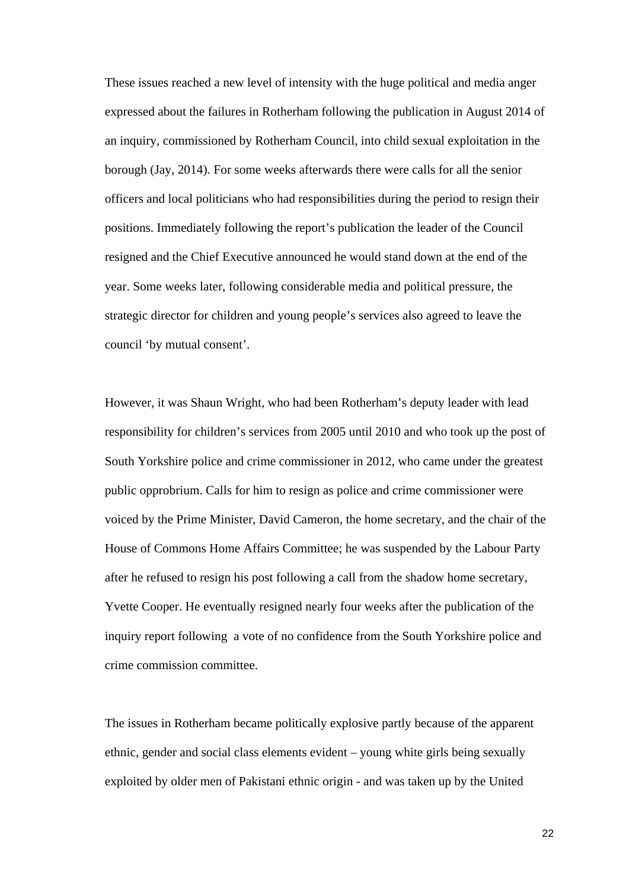These issues reached a new level of intensity with the huge political and media anger expressed about the failures in Rotherham following the publication in August 2014 of an inquiry, commissioned by Rotherham Council, into child sexual exploitation in the borough (Jay, 2014). For some weeks afterwards there were calls for all the senior officers and local politicians who had responsibilities during the period to resign their positions. Immediately following the report's publication the leader of the Council resigned and the Chief Executive announced he would stand down at the end of the year. Some weeks later, following considerable media and political pressure, the strategic director for children and young people's services also agreed to leave the council 'by mutual consent'.

However, it was Shaun Wright, who had been Rotherham's deputy leader with lead responsibility for children's services from 2005 until 2010 and who took up the post of South Yorkshire police and crime commissioner in 2012, who came under the greatest public opprobrium. Calls for him to resign as police and crime commissioner were voiced by the Prime Minister, David Cameron, the home secretary, and the chair of the House of Commons Home Affairs Committee; he was suspended by the Labour Party after he refused to resign his post following a call from the shadow home secretary, Yvette Cooper. He eventually resigned nearly four weeks after the publication of the inquiry report following a vote of no confidence from the South Yorkshire police and crime commission committee.

The issues in Rotherham became politically explosive partly because of the apparent ethnic, gender and social class elements evident – young white girls being sexually exploited by older men of Pakistani ethnic origin - and was taken up by the United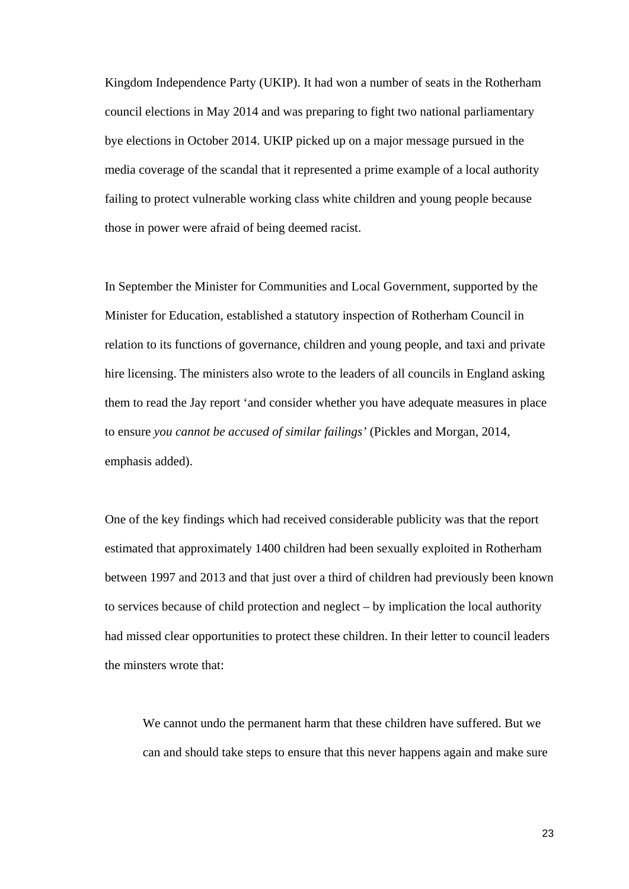Kingdom Independence Party (UKIP). It had won a number of seats in the Rotherham council elections in May 2014 and was preparing to fight two national parliamentary bye elections in October 2014. UKIP picked up on a major message pursued in the media coverage of the scandal that it represented a prime example of a local authority failing to protect vulnerable working class white children and young people because those in power were afraid of being deemed racist.

In September the Minister for Communities and Local Government, supported by the Minister for Education, established a statutory inspection of Rotherham Council in relation to its functions of governance, children and young people, and taxi and private hire licensing. The ministers also wrote to the leaders of all councils in England asking them to read the Jay report 'and consider whether you have adequate measures in place to ensure *you cannot be accused of similar failings'* (Pickles and Morgan, 2014, emphasis added).

One of the key findings which had received considerable publicity was that the report estimated that approximately 1400 children had been sexually exploited in Rotherham between 1997 and 2013 and that just over a third of children had previously been known to services because of child protection and neglect – by implication the local authority had missed clear opportunities to protect these children. In their letter to council leaders the minsters wrote that:

We cannot undo the permanent harm that these children have suffered. But we can and should take steps to ensure that this never happens again and make sure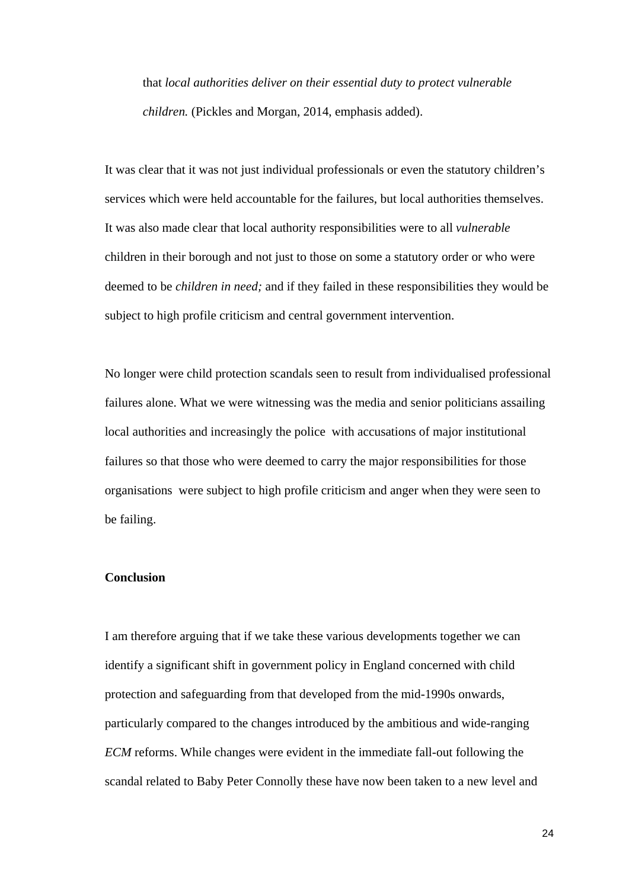that *local authorities deliver on their essential duty to protect vulnerable children.* (Pickles and Morgan, 2014, emphasis added).

It was clear that it was not just individual professionals or even the statutory children's services which were held accountable for the failures, but local authorities themselves. It was also made clear that local authority responsibilities were to all *vulnerable*  children in their borough and not just to those on some a statutory order or who were deemed to be *children in need;* and if they failed in these responsibilities they would be subject to high profile criticism and central government intervention.

No longer were child protection scandals seen to result from individualised professional failures alone. What we were witnessing was the media and senior politicians assailing local authorities and increasingly the police with accusations of major institutional failures so that those who were deemed to carry the major responsibilities for those organisations were subject to high profile criticism and anger when they were seen to be failing.

# **Conclusion**

I am therefore arguing that if we take these various developments together we can identify a significant shift in government policy in England concerned with child protection and safeguarding from that developed from the mid-1990s onwards, particularly compared to the changes introduced by the ambitious and wide-ranging *ECM* reforms. While changes were evident in the immediate fall-out following the scandal related to Baby Peter Connolly these have now been taken to a new level and

24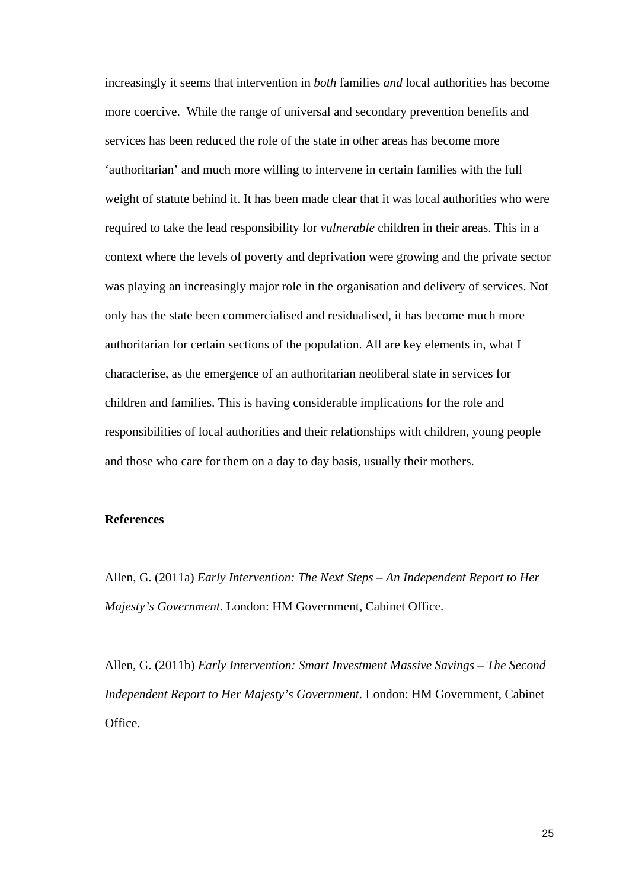increasingly it seems that intervention in *both* families *and* local authorities has become more coercive. While the range of universal and secondary prevention benefits and services has been reduced the role of the state in other areas has become more 'authoritarian' and much more willing to intervene in certain families with the full weight of statute behind it. It has been made clear that it was local authorities who were required to take the lead responsibility for *vulnerable* children in their areas. This in a context where the levels of poverty and deprivation were growing and the private sector was playing an increasingly major role in the organisation and delivery of services. Not only has the state been commercialised and residualised, it has become much more authoritarian for certain sections of the population. All are key elements in, what I characterise, as the emergence of an authoritarian neoliberal state in services for children and families. This is having considerable implications for the role and responsibilities of local authorities and their relationships with children, young people and those who care for them on a day to day basis, usually their mothers.

#### **References**

Allen, G. (2011a) *Early Intervention: The Next Steps – An Independent Report to Her Majesty's Government*. London: HM Government, Cabinet Office.

Allen, G. (2011b) *Early Intervention: Smart Investment Massive Savings – The Second Independent Report to Her Majesty's Government*. London: HM Government, Cabinet Office.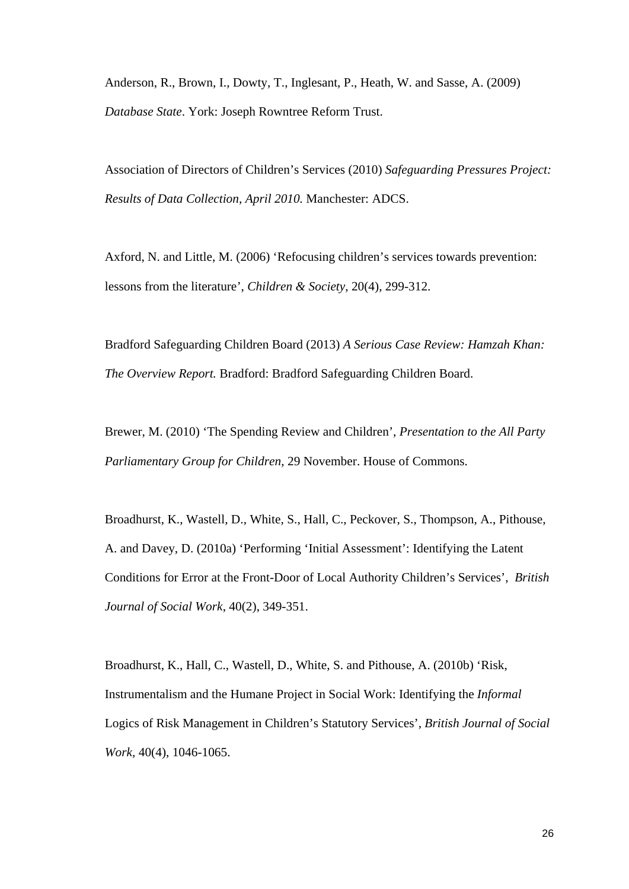Anderson, R., Brown, I., Dowty, T., Inglesant, P., Heath, W. and Sasse, A. (2009) *Database State*. York: Joseph Rowntree Reform Trust.

Association of Directors of Children's Services (2010) *Safeguarding Pressures Project: Results of Data Collection, April 2010.* Manchester: ADCS.

Axford, N. and Little, M. (2006) 'Refocusing children's services towards prevention: lessons from the literature', *Children & Society*, 20(4), 299-312.

Bradford Safeguarding Children Board (2013) *A Serious Case Review: Hamzah Khan: The Overview Report.* Bradford: Bradford Safeguarding Children Board.

Brewer, M. (2010) 'The Spending Review and Children', *Presentation to the All Party Parliamentary Group for Children*, 29 November. House of Commons.

Broadhurst, K., Wastell, D., White, S., Hall, C., Peckover, S., Thompson, A., Pithouse, A. and Davey, D. (2010a) 'Performing 'Initial Assessment': Identifying the Latent Conditions for Error at the Front-Door of Local Authority Children's Services', *British Journal of Social Work*, 40(2), 349-351.

Broadhurst, K., Hall, C., Wastell, D., White, S. and Pithouse, A. (2010b) 'Risk, Instrumentalism and the Humane Project in Social Work: Identifying the *Informal* Logics of Risk Management in Children's Statutory Services', *British Journal of Social Work,* 40(4), 1046-1065.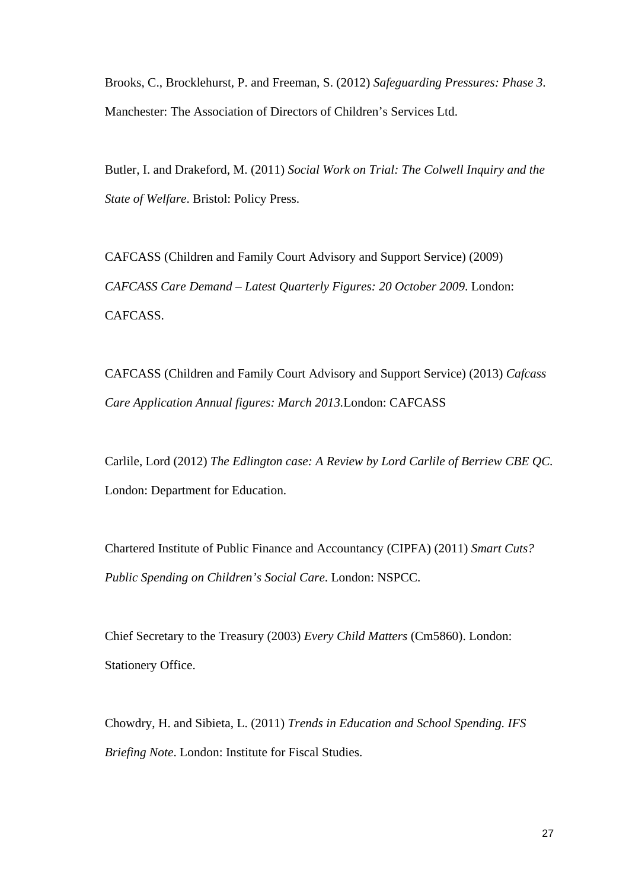Brooks, C., Brocklehurst, P. and Freeman, S. (2012) *Safeguarding Pressures: Phase 3*. Manchester: The Association of Directors of Children's Services Ltd.

Butler, I. and Drakeford, M. (2011) *Social Work on Trial: The Colwell Inquiry and the State of Welfare*. Bristol: Policy Press.

CAFCASS (Children and Family Court Advisory and Support Service) (2009) *CAFCASS Care Demand – Latest Quarterly Figures: 20 October 2009*. London: CAFCASS.

CAFCASS (Children and Family Court Advisory and Support Service) (2013) *Cafcass Care Application Annual figures: March 2013.*London: CAFCASS

Carlile, Lord (2012) *The Edlington case: A Review by Lord Carlile of Berriew CBE QC.* London: Department for Education.

Chartered Institute of Public Finance and Accountancy (CIPFA) (2011) *Smart Cuts? Public Spending on Children's Social Care*. London: NSPCC.

Chief Secretary to the Treasury (2003) *Every Child Matters* (Cm5860). London: Stationery Office.

Chowdry, H. and Sibieta, L. (2011) *Trends in Education and School Spending. IFS Briefing Note*. London: Institute for Fiscal Studies.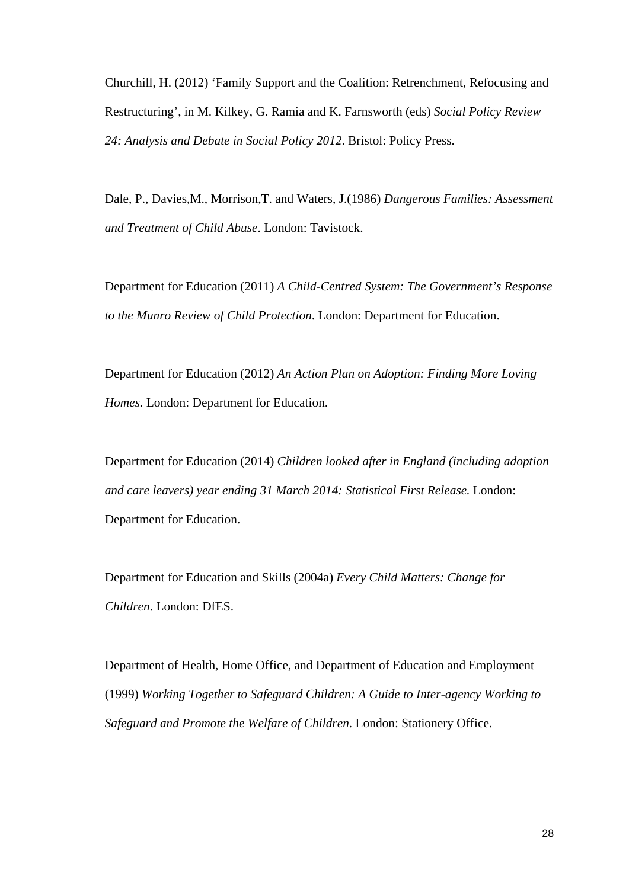Churchill, H. (2012) 'Family Support and the Coalition: Retrenchment, Refocusing and Restructuring', in M. Kilkey, G. Ramia and K. Farnsworth (eds) *Social Policy Review 24: Analysis and Debate in Social Policy 2012*. Bristol: Policy Press.

Dale, P., Davies,M., Morrison,T. and Waters, J.(1986) *Dangerous Families: Assessment and Treatment of Child Abuse*. London: Tavistock.

Department for Education (2011) *A Child-Centred System: The Government's Response to the Munro Review of Child Protection*. London: Department for Education.

Department for Education (2012) *An Action Plan on Adoption: Finding More Loving Homes.* London: Department for Education.

Department for Education (2014) *Children looked after in England (including adoption and care leavers) year ending 31 March 2014: Statistical First Release.* London: Department for Education.

Department for Education and Skills (2004a) *Every Child Matters: Change for Children*. London: DfES.

Department of Health, Home Office, and Department of Education and Employment (1999) *Working Together to Safeguard Children: A Guide to Inter-agency Working to Safeguard and Promote the Welfare of Children*. London: Stationery Office.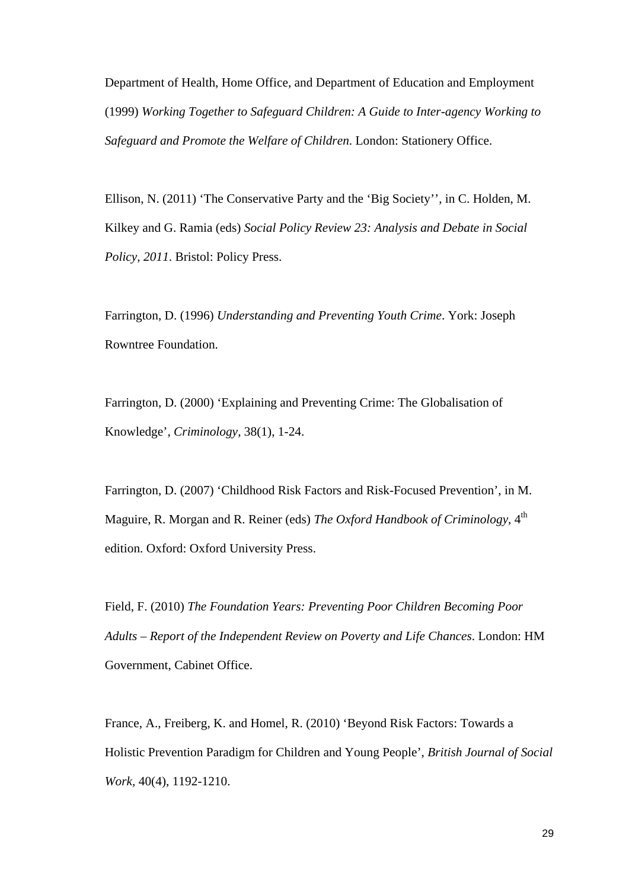Department of Health, Home Office, and Department of Education and Employment (1999) *Working Together to Safeguard Children: A Guide to Inter-agency Working to Safeguard and Promote the Welfare of Children*. London: Stationery Office.

Ellison, N. (2011) 'The Conservative Party and the 'Big Society'', in C. Holden, M. Kilkey and G. Ramia (eds) *Social Policy Review 23: Analysis and Debate in Social Policy, 2011*. Bristol: Policy Press.

Farrington, D. (1996) *Understanding and Preventing Youth Crime*. York: Joseph Rowntree Foundation.

Farrington, D. (2000) 'Explaining and Preventing Crime: The Globalisation of Knowledge', *Criminology*, 38(1), 1-24.

Farrington, D. (2007) 'Childhood Risk Factors and Risk-Focused Prevention', in M. Maguire, R. Morgan and R. Reiner (eds) *The Oxford Handbook of Criminology*, 4<sup>th</sup> edition. Oxford: Oxford University Press.

Field, F. (2010) *The Foundation Years: Preventing Poor Children Becoming Poor Adults – Report of the Independent Review on Poverty and Life Chances*. London: HM Government, Cabinet Office.

France, A., Freiberg, K. and Homel, R. (2010) 'Beyond Risk Factors: Towards a Holistic Prevention Paradigm for Children and Young People', *British Journal of Social Work,* 40(4), 1192-1210.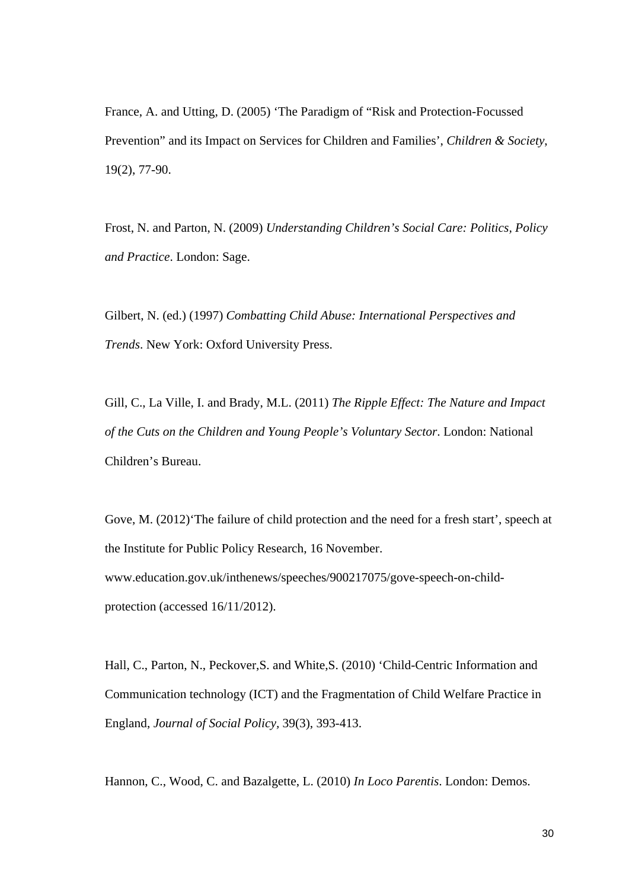France, A. and Utting, D. (2005) 'The Paradigm of "Risk and Protection-Focussed Prevention" and its Impact on Services for Children and Families', *Children & Society*, 19(2), 77-90.

Frost, N. and Parton, N. (2009) *Understanding Children's Social Care: Politics, Policy and Practice*. London: Sage.

Gilbert, N. (ed.) (1997) *Combatting Child Abuse: International Perspectives and Trends*. New York: Oxford University Press.

Gill, C., La Ville, I. and Brady, M.L. (2011) *The Ripple Effect: The Nature and Impact of the Cuts on the Children and Young People's Voluntary Sector*. London: National Children's Bureau.

Gove, M. (2012)'The failure of child protection and the need for a fresh start', speech at the Institute for Public Policy Research, 16 November. www.education.gov.uk/inthenews/speeches/900217075/gove-speech-on-childprotection (accessed 16/11/2012).

Hall, C., Parton, N., Peckover,S. and White,S. (2010) 'Child-Centric Information and Communication technology (ICT) and the Fragmentation of Child Welfare Practice in England, *Journal of Social Policy,* 39(3), 393-413.

Hannon, C., Wood, C. and Bazalgette, L. (2010) *In Loco Parentis*. London: Demos.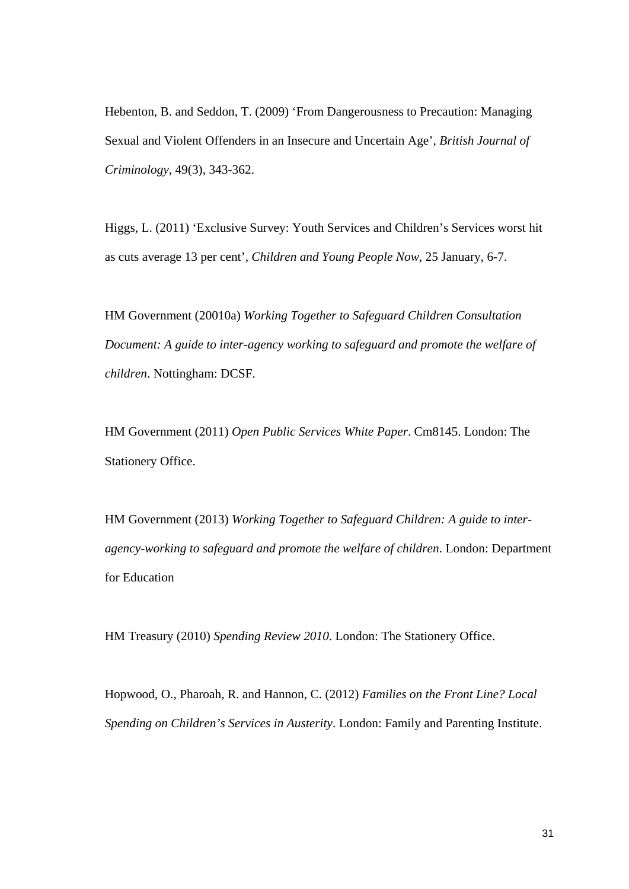Hebenton, B. and Seddon, T. (2009) 'From Dangerousness to Precaution: Managing Sexual and Violent Offenders in an Insecure and Uncertain Age', *British Journal of Criminology*, 49(3), 343-362.

Higgs, L. (2011) 'Exclusive Survey: Youth Services and Children's Services worst hit as cuts average 13 per cent', *Children and Young People Now*, 25 January, 6-7.

HM Government (20010a) *Working Together to Safeguard Children Consultation Document: A guide to inter-agency working to safeguard and promote the welfare of children*. Nottingham: DCSF.

HM Government (2011) *Open Public Services White Paper*. Cm8145. London: The Stationery Office.

HM Government (2013) *Working Together to Safeguard Children: A guide to interagency-working to safeguard and promote the welfare of children*. London: Department for Education

HM Treasury (2010) *Spending Review 2010*. London: The Stationery Office.

Hopwood, O., Pharoah, R. and Hannon, C. (2012) *Families on the Front Line? Local Spending on Children's Services in Austerity*. London: Family and Parenting Institute.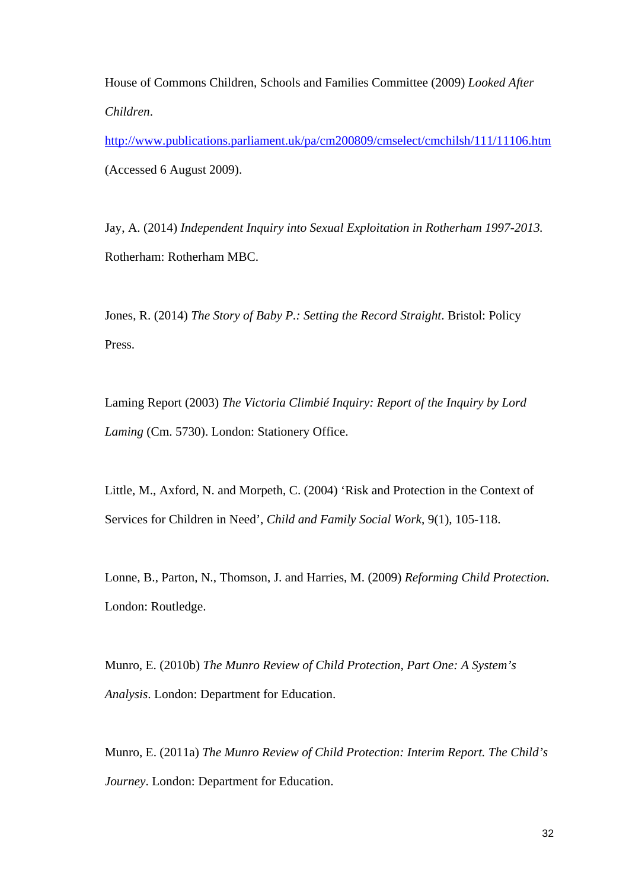House of Commons Children, Schools and Families Committee (2009) *Looked After Children*.

http://www.publications.parliament.uk/pa/cm200809/cmselect/cmchilsh/111/11106.htm (Accessed 6 August 2009).

Jay, A. (2014) *Independent Inquiry into Sexual Exploitation in Rotherham 1997-2013.*  Rotherham: Rotherham MBC.

Jones, R. (2014) *The Story of Baby P.: Setting the Record Straight*. Bristol: Policy Press.

Laming Report (2003) *The Victoria Climbié Inquiry: Report of the Inquiry by Lord Laming* (Cm. 5730). London: Stationery Office.

Little, M., Axford, N. and Morpeth, C. (2004) 'Risk and Protection in the Context of Services for Children in Need', *Child and Family Social Work*, 9(1), 105-118.

Lonne, B., Parton, N., Thomson, J. and Harries, M. (2009) *Reforming Child Protection*. London: Routledge.

Munro, E. (2010b) *The Munro Review of Child Protection, Part One: A System's Analysis*. London: Department for Education.

Munro, E. (2011a) *The Munro Review of Child Protection: Interim Report. The Child's Journey*. London: Department for Education.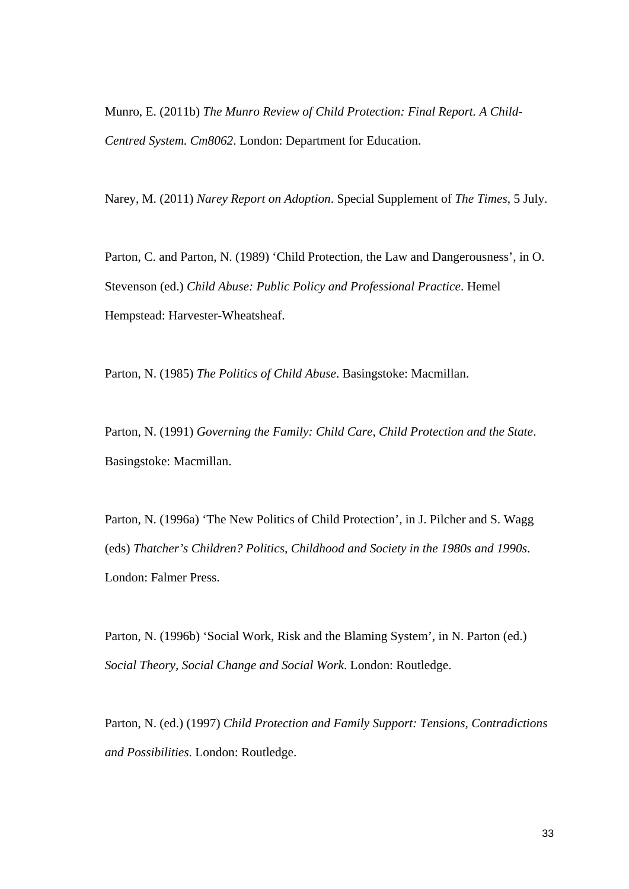Munro, E. (2011b) *The Munro Review of Child Protection: Final Report. A Child-Centred System. Cm8062*. London: Department for Education.

Narey, M. (2011) *Narey Report on Adoption*. Special Supplement of *The Times*, 5 July.

Parton, C. and Parton, N. (1989) 'Child Protection, the Law and Dangerousness', in O. Stevenson (ed.) *Child Abuse: Public Policy and Professional Practice*. Hemel Hempstead: Harvester-Wheatsheaf.

Parton, N. (1985) *The Politics of Child Abuse*. Basingstoke: Macmillan.

Parton, N. (1991) *Governing the Family: Child Care, Child Protection and the State*. Basingstoke: Macmillan.

Parton, N. (1996a) 'The New Politics of Child Protection', in J. Pilcher and S. Wagg (eds) *Thatcher's Children? Politics, Childhood and Society in the 1980s and 1990s*. London: Falmer Press.

Parton, N. (1996b) 'Social Work, Risk and the Blaming System', in N. Parton (ed.) *Social Theory, Social Change and Social Work*. London: Routledge.

Parton, N. (ed.) (1997) *Child Protection and Family Support: Tensions, Contradictions and Possibilities*. London: Routledge.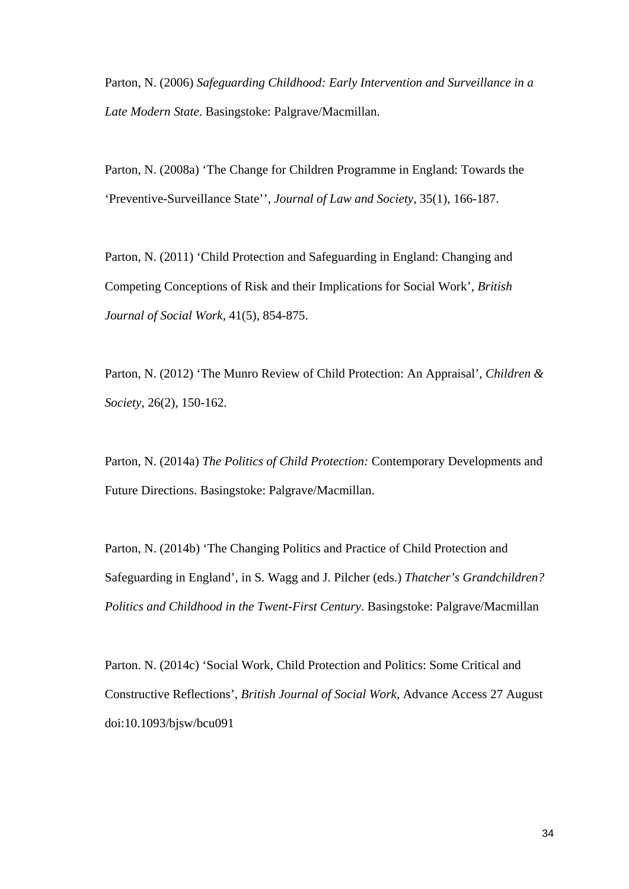Parton, N. (2006) *Safeguarding Childhood: Early Intervention and Surveillance in a Late Modern State*. Basingstoke: Palgrave/Macmillan.

Parton, N. (2008a) 'The Change for Children Programme in England: Towards the 'Preventive-Surveillance State'', *Journal of Law and Society*, 35(1), 166-187.

Parton, N. (2011) 'Child Protection and Safeguarding in England: Changing and Competing Conceptions of Risk and their Implications for Social Work', *British Journal of Social Work*, 41(5), 854-875.

Parton, N. (2012) 'The Munro Review of Child Protection: An Appraisal', *Children & Society*, 26(2), 150-162.

Parton, N. (2014a) *The Politics of Child Protection:* Contemporary Developments and Future Directions. Basingstoke: Palgrave/Macmillan.

Parton, N. (2014b) 'The Changing Politics and Practice of Child Protection and Safeguarding in England', in S. Wagg and J. Pilcher (eds.) *Thatcher's Grandchildren? Politics and Childhood in the Twent-First Century*. Basingstoke: Palgrave/Macmillan

Parton. N. (2014c) 'Social Work, Child Protection and Politics: Some Critical and Constructive Reflections', *British Journal of Social Work,* Advance Access 27 August doi:10.1093/bjsw/bcu091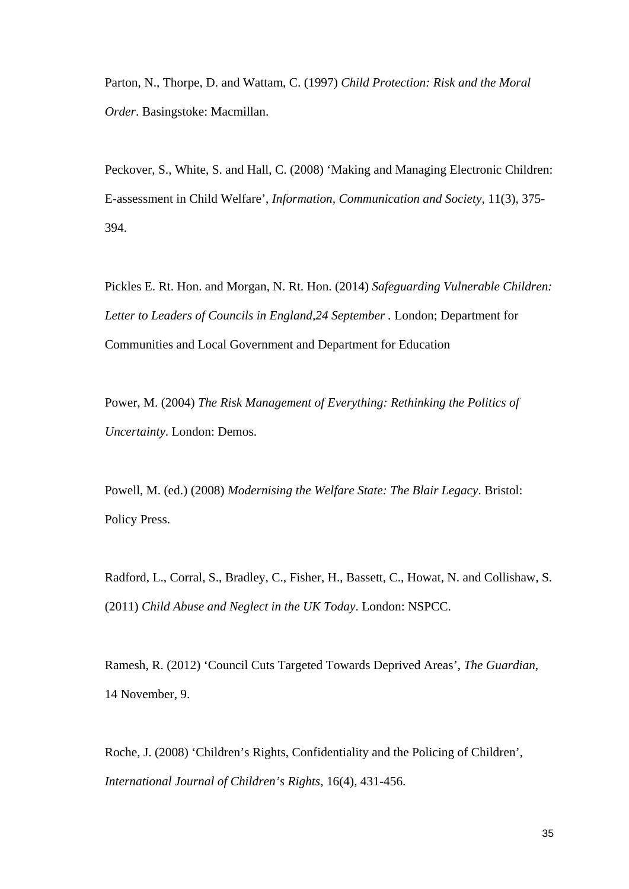Parton, N., Thorpe, D. and Wattam, C. (1997) *Child Protection: Risk and the Moral Order*. Basingstoke: Macmillan.

Peckover, S., White, S. and Hall, C. (2008) 'Making and Managing Electronic Children: E-assessment in Child Welfare', *Information, Communication and Society*, 11(3), 375- 394.

Pickles E. Rt. Hon. and Morgan, N. Rt. Hon. (2014) *Safeguarding Vulnerable Children:*  Letter to Leaders of Councils in England, 24 September . London; Department for Communities and Local Government and Department for Education

Power, M. (2004) *The Risk Management of Everything: Rethinking the Politics of Uncertainty*. London: Demos.

Powell, M. (ed.) (2008) *Modernising the Welfare State: The Blair Legacy*. Bristol: Policy Press.

Radford, L., Corral, S., Bradley, C., Fisher, H., Bassett, C., Howat, N. and Collishaw, S. (2011) *Child Abuse and Neglect in the UK Today*. London: NSPCC.

Ramesh, R. (2012) 'Council Cuts Targeted Towards Deprived Areas', *The Guardian*, 14 November, 9.

Roche, J. (2008) 'Children's Rights, Confidentiality and the Policing of Children', *International Journal of Children's Rights*, 16(4), 431-456.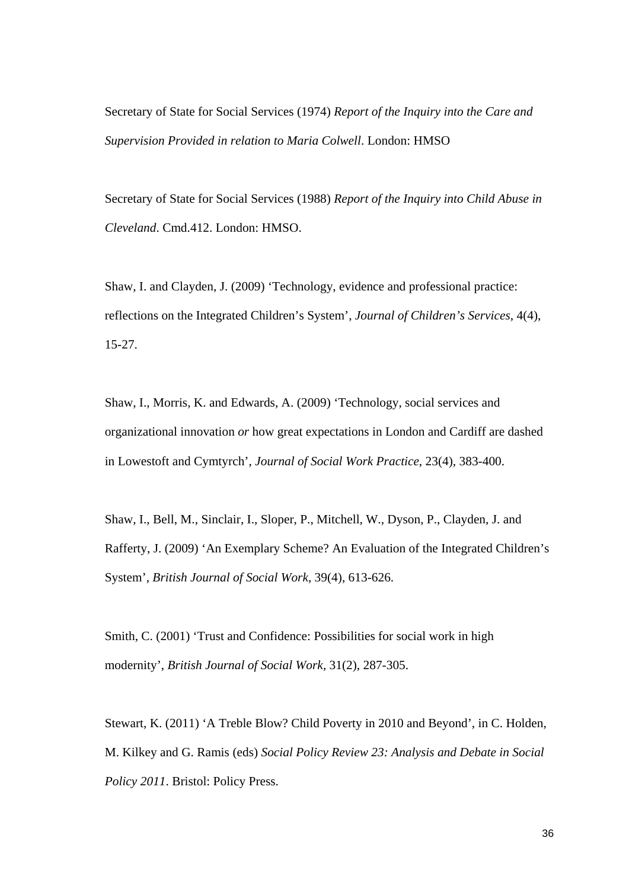Secretary of State for Social Services (1974) *Report of the Inquiry into the Care and Supervision Provided in relation to Maria Colwell*. London: HMSO

Secretary of State for Social Services (1988) *Report of the Inquiry into Child Abuse in Cleveland*. Cmd.412. London: HMSO.

Shaw, I. and Clayden, J. (2009) 'Technology, evidence and professional practice: reflections on the Integrated Children's System', *Journal of Children's Services*, 4(4), 15-27.

Shaw, I., Morris, K. and Edwards, A. (2009) 'Technology, social services and organizational innovation *or* how great expectations in London and Cardiff are dashed in Lowestoft and Cymtyrch', *Journal of Social Work Practice*, 23(4), 383-400.

Shaw, I., Bell, M., Sinclair, I., Sloper, P., Mitchell, W., Dyson, P., Clayden, J. and Rafferty, J. (2009) 'An Exemplary Scheme? An Evaluation of the Integrated Children's System', *British Journal of Social Work*, 39(4), 613-626.

Smith, C. (2001) 'Trust and Confidence: Possibilities for social work in high modernity', *British Journal of Social Work*, 31(2), 287-305.

Stewart, K. (2011) 'A Treble Blow? Child Poverty in 2010 and Beyond', in C. Holden, M. Kilkey and G. Ramis (eds) *Social Policy Review 23: Analysis and Debate in Social Policy 2011*. Bristol: Policy Press.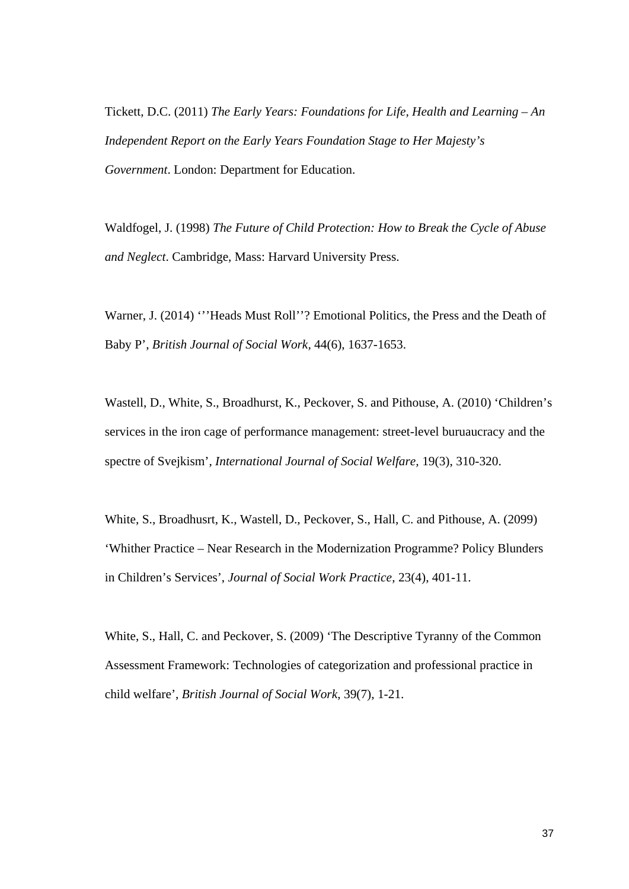Tickett, D.C. (2011) *The Early Years: Foundations for Life, Health and Learning – An Independent Report on the Early Years Foundation Stage to Her Majesty's Government*. London: Department for Education.

Waldfogel, J. (1998) *The Future of Child Protection: How to Break the Cycle of Abuse and Neglect*. Cambridge, Mass: Harvard University Press.

Warner, J. (2014) "'Heads Must Roll''? Emotional Politics, the Press and the Death of Baby P', *British Journal of Social Work,* 44(6), 1637-1653.

Wastell, D., White, S., Broadhurst, K., Peckover, S. and Pithouse, A. (2010) 'Children's services in the iron cage of performance management: street-level buruaucracy and the spectre of Svejkism', *International Journal of Social Welfare,* 19(3), 310-320.

White, S., Broadhusrt, K., Wastell, D., Peckover, S., Hall, C. and Pithouse, A. (2099) 'Whither Practice – Near Research in the Modernization Programme? Policy Blunders in Children's Services', *Journal of Social Work Practice*, 23(4), 401-11.

White, S., Hall, C. and Peckover, S. (2009) 'The Descriptive Tyranny of the Common Assessment Framework: Technologies of categorization and professional practice in child welfare', *British Journal of Social Work*, 39(7), 1-21.